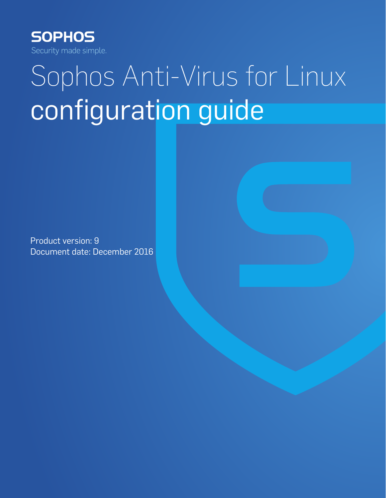

# Sophos Anti-Virus for Linux configuration guide

Product version: 9 Document date: December 2016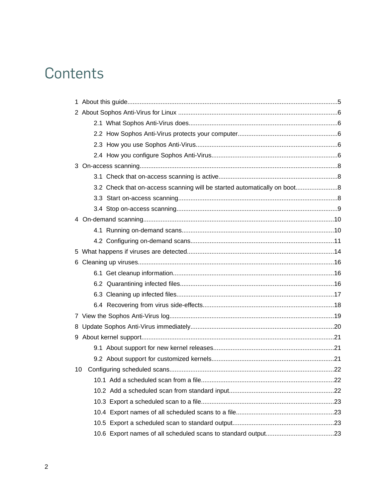## Contents

|    | 3.2 Check that on-access scanning will be started automatically on boot8 |  |
|----|--------------------------------------------------------------------------|--|
|    |                                                                          |  |
|    |                                                                          |  |
|    |                                                                          |  |
|    |                                                                          |  |
|    |                                                                          |  |
|    |                                                                          |  |
|    |                                                                          |  |
|    |                                                                          |  |
|    |                                                                          |  |
|    |                                                                          |  |
|    |                                                                          |  |
|    |                                                                          |  |
|    |                                                                          |  |
|    |                                                                          |  |
|    |                                                                          |  |
|    |                                                                          |  |
| 10 |                                                                          |  |
|    |                                                                          |  |
|    |                                                                          |  |
|    |                                                                          |  |
|    |                                                                          |  |
|    |                                                                          |  |
|    |                                                                          |  |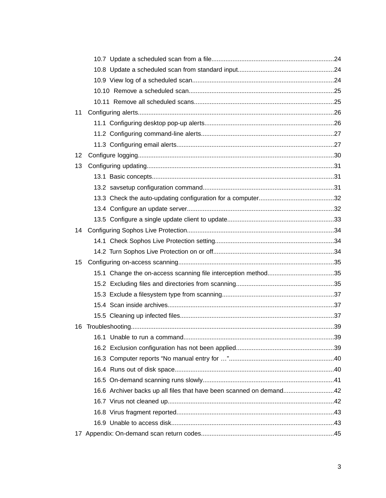| 12 |                                                                     |
|----|---------------------------------------------------------------------|
|    |                                                                     |
|    |                                                                     |
|    |                                                                     |
|    |                                                                     |
|    |                                                                     |
|    |                                                                     |
|    |                                                                     |
|    |                                                                     |
|    |                                                                     |
| 15 |                                                                     |
|    |                                                                     |
|    |                                                                     |
|    |                                                                     |
|    |                                                                     |
|    |                                                                     |
|    |                                                                     |
|    |                                                                     |
|    |                                                                     |
|    |                                                                     |
|    |                                                                     |
|    |                                                                     |
|    |                                                                     |
|    |                                                                     |
|    |                                                                     |
|    |                                                                     |
|    |                                                                     |
| 11 | 16.6 Archiver backs up all files that have been scanned on demand42 |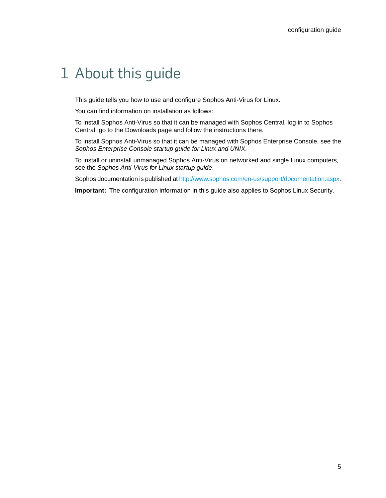## <span id="page-4-0"></span>1 About this guide

This guide tells you how to use and configure Sophos Anti-Virus for Linux.

You can find information on installation as follows:

To install Sophos Anti-Virus so that it can be managed with Sophos Central, log in to Sophos Central, go to the Downloads page and follow the instructions there.

To install Sophos Anti-Virus so that it can be managed with Sophos Enterprise Console, see the *Sophos Enterprise Console startup guide for Linux and UNIX*.

To install or uninstall unmanaged Sophos Anti-Virus on networked and single Linux computers, see the *Sophos Anti-Virus for Linux startup guide*.

Sophos documentation is published at [http://www.sophos.com/en-us/support/documentation.aspx.](http://www.sophos.com/en-us/support/documentation.aspx)

**Important:** The configuration information in this guide also applies to Sophos Linux Security.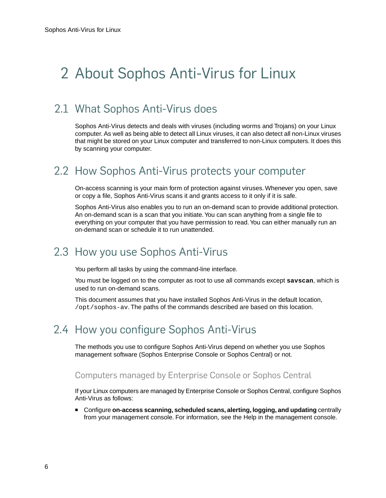## <span id="page-5-0"></span>2 About Sophos Anti-Virus for Linux

## <span id="page-5-1"></span>2.1 What Sophos Anti-Virus does

Sophos Anti-Virus detects and deals with viruses (including worms and Trojans) on your Linux computer. As well as being able to detect all Linux viruses, it can also detect all non-Linux viruses that might be stored on your Linux computer and transferred to non-Linux computers. It does this by scanning your computer.

### <span id="page-5-2"></span>2.2 How Sophos Anti-Virus protects your computer

On-access scanning is your main form of protection against viruses. Whenever you open, save or copy a file, Sophos Anti-Virus scans it and grants access to it only if it is safe.

Sophos Anti-Virus also enables you to run an on-demand scan to provide additional protection. An on-demand scan is a scan that you initiate. You can scan anything from a single file to everything on your computer that you have permission to read.You can either manually run an on-demand scan or schedule it to run unattended.

## <span id="page-5-3"></span>2.3 How you use Sophos Anti-Virus

You perform all tasks by using the command-line interface.

<span id="page-5-5"></span>You must be logged on to the computer as root to use all commands except **savscan**, which is used to run on-demand scans.

This document assumes that you have installed Sophos Anti-Virus in the default location, /opt/sophos-av. The paths of the commands described are based on this location.

## <span id="page-5-4"></span>2.4 How you configure Sophos Anti-Virus

The methods you use to configure Sophos Anti-Virus depend on whether you use Sophos management software (Sophos Enterprise Console or Sophos Central) or not.

#### Computers managed by Enterprise Console or Sophos Central

If your Linux computers are managed by Enterprise Console or Sophos Central, configure Sophos Anti-Virus as follows:

■ Configure **on-access scanning, scheduled scans, alerting, logging, and updating** centrally from your management console. For information, see the Help in the management console.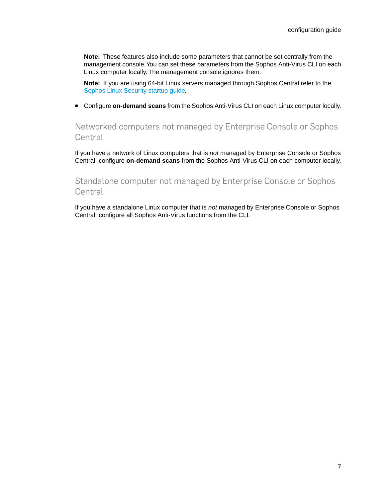**Note:** These features also include some parameters that cannot be set centrally from the management console.You can set these parameters from the Sophos Anti-Virus CLI on each Linux computer locally. The management console ignores them.

**Note:** If you are using 64-bit Linux servers managed through Sophos Central refer to the [Sophos Linux Security startup guide](https://www.sophos.com/en-us/medialibrary/PDFs/documentation/savl_10_sgeng.pdf)*.*

■ Configure **on-demand scans** from the Sophos Anti-Virus CLI on each Linux computer locally.

Networked computers not managed by Enterprise Console or Sophos **Central** 

If you have a network of Linux computers that is *not* managed by Enterprise Console or Sophos Central, configure **on-demand scans** from the Sophos Anti-Virus CLI on each computer locally.

#### Standalone computer not managed by Enterprise Console or Sophos Central

If you have a standalone Linux computer that is *not* managed by Enterprise Console or Sophos Central, configure all Sophos Anti-Virus functions from the CLI.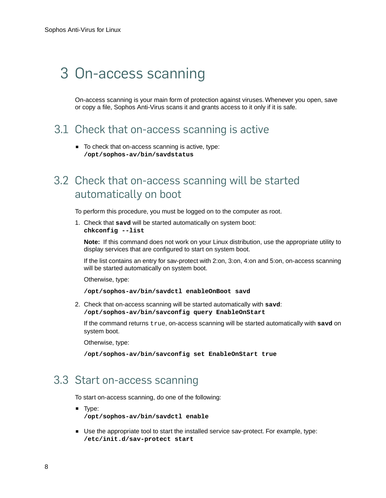## <span id="page-7-4"></span><span id="page-7-0"></span>3 On-access scanning

On-access scanning is your main form of protection against viruses. Whenever you open, save or copy a file, Sophos Anti-Virus scans it and grants access to it only if it is safe.

### <span id="page-7-1"></span>3.1 Check that on-access scanning is active

■ To check that on-access scanning is active, type: **/opt/sophos-av/bin/savdstatus**

## <span id="page-7-2"></span>3.2 Check that on-access scanning will be started automatically on boot

To perform this procedure, you must be logged on to the computer as root.

1. Check that **savd** will be started automatically on system boot: **chkconfig --list**

**Note:** If this command does not work on your Linux distribution, use the appropriate utility to display services that are configured to start on system boot.

If the list contains an entry for sav-protect with 2:on, 3:on, 4:on and 5:on, on-access scanning will be started automatically on system boot.

Otherwise, type:

```
/opt/sophos-av/bin/savdctl enableOnBoot savd
```
2. Check that on-access scanning will be started automatically with **savd**: **/opt/sophos-av/bin/savconfig query EnableOnStart**

If the command returns true, on-access scanning will be started automatically with **savd** on system boot.

Otherwise, type:

**/opt/sophos-av/bin/savconfig set EnableOnStart true**

### <span id="page-7-3"></span>3.3 Start on-access scanning

To start on-access scanning, do one of the following:

- Type: **/opt/sophos-av/bin/savdctl enable**
- Use the appropriate tool to start the installed service sav-protect. For example, type: **/etc/init.d/sav-protect start**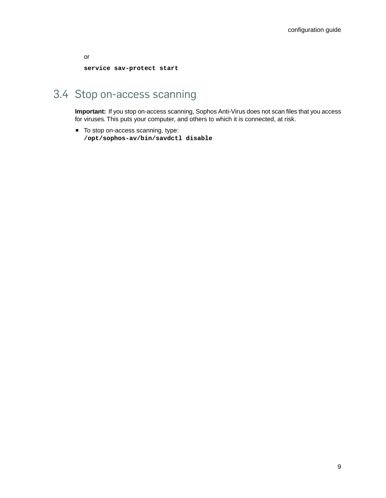or **service sav-protect start**

## <span id="page-8-0"></span>3.4 Stop on-access scanning

**Important:** If you stop on-access scanning, Sophos Anti-Virus does not scan files that you access for viruses. This puts your computer, and others to which it is connected, at risk.

■ To stop on-access scanning, type: **/opt/sophos-av/bin/savdctl disable**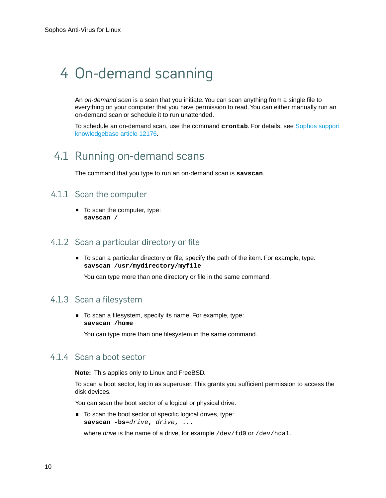## <span id="page-9-6"></span><span id="page-9-0"></span>4 On-demand scanning

An *on-demand scan* is a scan that you initiate.You can scan anything from a single file to everything on your computer that you have permission to read. You can either manually run an on-demand scan or schedule it to run unattended.

To schedule an on-demand scan, use the command **crontab**. For details, see [Sophos support](http://www.sophos.com/support/knowledgebase/article/12176.html) [knowledgebase article 12176.](http://www.sophos.com/support/knowledgebase/article/12176.html)

## <span id="page-9-3"></span><span id="page-9-1"></span>4.1 Running on-demand scans

The command that you type to run an on-demand scan is **savscan**.

#### <span id="page-9-4"></span>4.1.1 Scan the computer

■ To scan the computer, type: **savscan /**

#### <span id="page-9-5"></span>4.1.2 Scan a particular directory or file

■ To scan a particular directory or file, specify the path of the item. For example, type: **savscan /usr/mydirectory/myfile**

You can type more than one directory or file in the same command.

#### <span id="page-9-2"></span>4.1.3 Scan a filesystem

■ To scan a filesystem, specify its name. For example, type: **savscan /home**

You can type more than one filesystem in the same command.

#### 4.1.4 Scan a boot sector

**Note:** This applies only to Linux and FreeBSD.

To scan a boot sector, log in as superuser. This grants you sufficient permission to access the disk devices.

You can scan the boot sector of a logical or physical drive.

■ To scan the boot sector of specific logical drives, type: **savscan -bs=***drive***,** *drive***, ...**

where *drive* is the name of a drive, for example /dev/fd0 or /dev/hda1.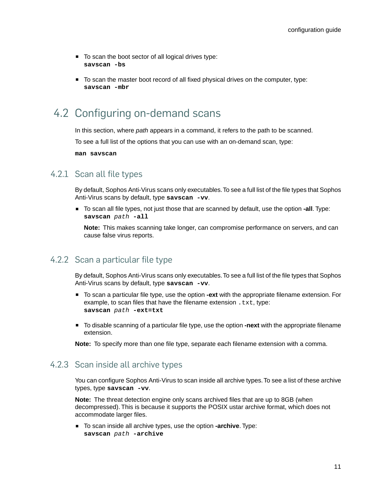- To scan the boot sector of all logical drives type: **savscan -bs**
- To scan the master boot record of all fixed physical drives on the computer, type: **savscan -mbr**

## <span id="page-10-0"></span>4.2 Configuring on-demand scans

In this section, where *path* appears in a command, it refers to the path to be scanned.

To see a full list of the options that you can use with an on-demand scan, type:

**man savscan**

#### <span id="page-10-4"></span>4.2.1 Scan all file types

By default, Sophos Anti-Virus scans only executables.To see a full list of the file types that Sophos Anti-Virus scans by default, type **savscan -vv**.

■ To scan all file types, not just those that are scanned by default, use the option **-all**. Type: **savscan** *path* **-all**

**Note:** This makes scanning take longer, can compromise performance on servers, and can cause false virus reports.

#### <span id="page-10-3"></span><span id="page-10-1"></span>4.2.2 Scan a particular file type

By default, Sophos Anti-Virus scans only executables.To see a full list of the file types that Sophos Anti-Virus scans by default, type **savscan -vv**.

- To scan a particular file type, use the option **-ext** with the appropriate filename extension. For example, to scan files that have the filename extension  $.txt$ , type: **savscan** *path* **-ext=txt**
- <span id="page-10-2"></span>■ To disable scanning of a particular file type, use the option **-next** with the appropriate filename extension.

**Note:** To specify more than one file type, separate each filename extension with a comma.

#### 4.2.3 Scan inside all archive types

You can configure Sophos Anti-Virus to scan inside all archive types. To see a list of these archive types, type **savscan -vv**.

**Note:** The threat detection engine only scans archived files that are up to 8GB (when decompressed). This is because it supports the POSIX ustar archive format, which does not accommodate larger files.

■ To scan inside all archive types, use the option **-archive**. Type: **savscan** *path* **-archive**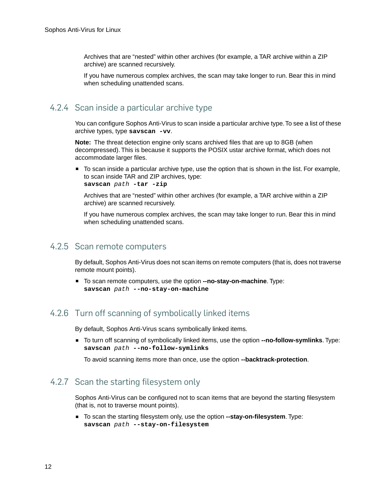Archives that are "nested" within other archives (for example, a TAR archive within a ZIP archive) are scanned recursively.

If you have numerous complex archives, the scan may take longer to run. Bear this in mind when scheduling unattended scans.

#### 4.2.4 Scan inside a particular archive type

You can configure Sophos Anti-Virus to scan inside a particular archive type. To see a list of these archive types, type **savscan -vv**.

**Note:** The threat detection engine only scans archived files that are up to 8GB (when decompressed). This is because it supports the POSIX ustar archive format, which does not accommodate larger files.

■ To scan inside a particular archive type, use the option that is shown in the list. For example, to scan inside TAR and ZIP archives, type: **savscan** *path* **-tar -zip**

Archives that are "nested" within other archives (for example, a TAR archive within a ZIP archive) are scanned recursively.

If you have numerous complex archives, the scan may take longer to run. Bear this in mind when scheduling unattended scans.

#### <span id="page-11-2"></span><span id="page-11-1"></span>4.2.5 Scan remote computers

By default, Sophos Anti-Virus does not scan items on remote computers (that is, does not traverse remote mount points).

■ To scan remote computers, use the option **--no-stay-on-machine**. Type: **savscan** *path* **--no-stay-on-machine**

#### <span id="page-11-0"></span>4.2.6 Turn off scanning of symbolically linked items

By default, Sophos Anti-Virus scans symbolically linked items.

■ To turn off scanning of symbolically linked items, use the option **--no-follow-symlinks**. Type: **savscan** *path* **--no-follow-symlinks**

To avoid scanning items more than once, use the option **--backtrack-protection**.

#### 4.2.7 Scan the starting filesystem only

Sophos Anti-Virus can be configured not to scan items that are beyond the starting filesystem (that is, not to traverse mount points).

■ To scan the starting filesystem only, use the option **--stay-on-filesystem**. Type: **savscan** *path* **--stay-on-filesystem**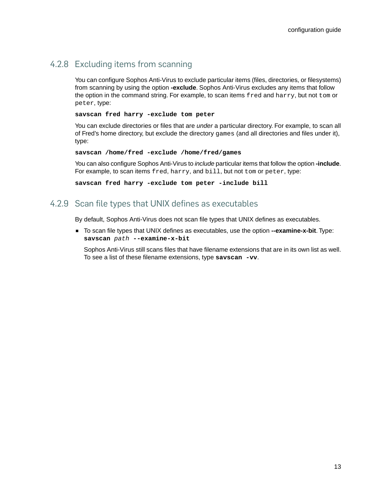#### <span id="page-12-0"></span>4.2.8 Excluding items from scanning

You can configure Sophos Anti-Virus to exclude particular items (files, directories, or filesystems) from scanning by using the option **-exclude**. Sophos Anti-Virus excludes any items that follow the option in the command string. For example, to scan items fred and harry, but not tom or peter, type:

#### **savscan fred harry -exclude tom peter**

You can exclude directories or files that are *under* a particular directory. For example, to scan all of Fred's home directory, but exclude the directory games (and all directories and files under it), type:

**savscan /home/fred -exclude /home/fred/games**

You can also configure Sophos Anti-Virus to *include* particular items that follow the option **-include**. For example, to scan items fred, harry, and bill, but not tom or peter, type:

**savscan fred harry -exclude tom peter -include bill**

#### <span id="page-12-1"></span>4.2.9 Scan file types that UNIX defines as executables

By default, Sophos Anti-Virus does not scan file types that UNIX defines as executables.

■ To scan file types that UNIX defines as executables, use the option **--examine-x-bit**. Type: **savscan** *path* **--examine-x-bit**

Sophos Anti-Virus still scans files that have filename extensions that are in its own list as well. To see a list of these filename extensions, type **savscan -vv**.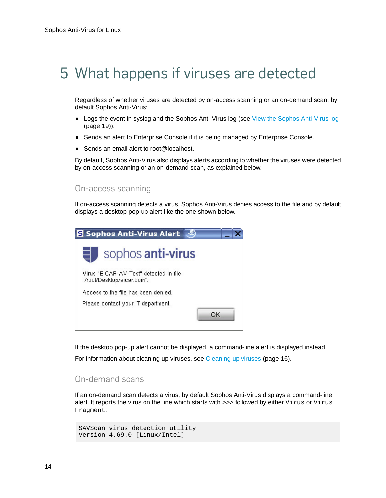## <span id="page-13-1"></span><span id="page-13-0"></span>5 What happens if viruses are detected

Regardless of whether viruses are detected by on-access scanning or an on-demand scan, by default Sophos Anti-Virus:

- Logs the event in syslog and the Sophos Anti-Virus log (see [View the Sophos Anti-Virus log](#page-18-0) (page 19)).
- Sends an alert to Enterprise Console if it is being managed by Enterprise Console.
- Sends an email alert to root@localhost.

By default, Sophos Anti-Virus also displays alerts according to whether the viruses were detected by on-access scanning or an on-demand scan, as explained below.

#### On-access scanning

If on-access scanning detects a virus, Sophos Anti-Virus denies access to the file and by default displays a desktop pop-up alert like the one shown below.



If the desktop pop-up alert cannot be displayed, a command-line alert is displayed instead.

For information about cleaning up viruses, see [Cleaning up viruses](#page-15-0) (page 16).

#### On-demand scans

If an on-demand scan detects a virus, by default Sophos Anti-Virus displays a command-line alert. It reports the virus on the line which starts with >>> followed by either Virus or Virus Fragment:

```
SAVScan virus detection utility
Version 4.69.0 [Linux/Intel]
```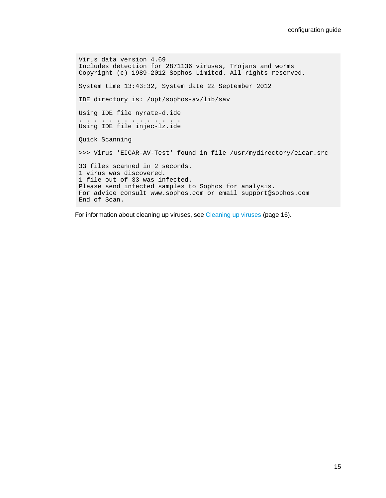```
Virus data version 4.69
Includes detection for 2871136 viruses, Trojans and worms
Copyright (c) 1989-2012 Sophos Limited. All rights reserved.
System time 13:43:32, System date 22 September 2012
IDE directory is: /opt/sophos-av/lib/sav
Using IDE file nyrate-d.ide
. . . . . . . . . . . . . .
Using IDE file injec-lz.ide
Quick Scanning
>>> Virus 'EICAR-AV-Test' found in file /usr/mydirectory/eicar.src
33 files scanned in 2 seconds.
1 virus was discovered.
1 file out of 33 was infected.
Please send infected samples to Sophos for analysis.
For advice consult www.sophos.com or email support@sophos.com
End of Scan.
```
For information about cleaning up viruses, see [Cleaning up viruses](#page-15-0) (page 16).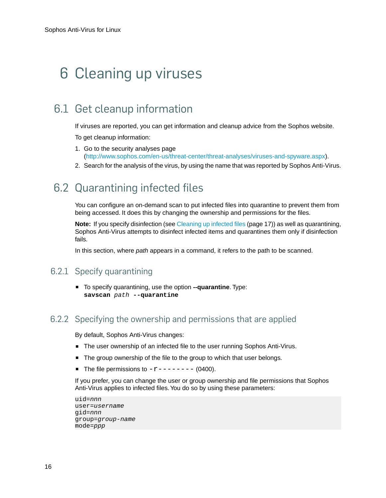## <span id="page-15-0"></span>6 Cleaning up viruses

## <span id="page-15-3"></span><span id="page-15-1"></span>6.1 Get cleanup information

If viruses are reported, you can get information and cleanup advice from the Sophos website.

To get cleanup information:

- 1. Go to the security analyses page (<http://www.sophos.com/en-us/threat-center/threat-analyses/viruses-and-spyware.aspx>).
- 2. Search for the analysis of the virus, by using the name that was reported by Sophos Anti-Virus.

## <span id="page-15-4"></span><span id="page-15-2"></span>6.2 Quarantining infected files

You can configure an on-demand scan to put infected files into quarantine to prevent them from being accessed. It does this by changing the ownership and permissions for the files.

**Note:** If you specify disinfection (see [Cleaning up infected files](#page-16-0) (page 17)) as well as quarantining, Sophos Anti-Virus attempts to disinfect infected items and quarantines them only if disinfection fails.

In this section, where *path* appears in a command, it refers to the path to be scanned.

#### 6.2.1 Specify quarantining

■ To specify quarantining, use the option **--quarantine**. Type: **savscan** *path* **--quarantine**

#### 6.2.2 Specifying the ownership and permissions that are applied

By default, Sophos Anti-Virus changes:

- The user ownership of an infected file to the user running Sophos Anti-Virus.
- The group ownership of the file to the group to which that user belongs.
- The file permissions to  $-r$ ------- (0400).

If you prefer, you can change the user or group ownership and file permissions that Sophos Anti-Virus applies to infected files.You do so by using these parameters:

```
uid=nnn
user=username
gid=nnn
group=group-name
mode=ppp
```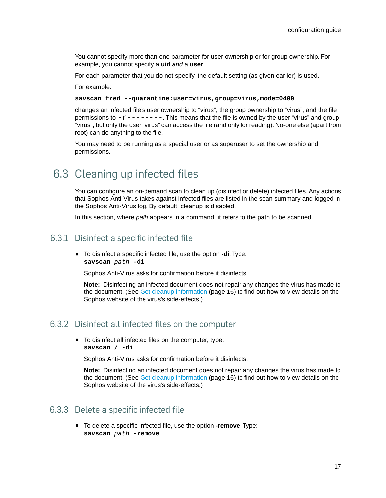You cannot specify more than one parameter for user ownership or for group ownership. For example, you cannot specify a **uid** *and* a **user**.

For each parameter that you do not specify, the default setting (as given earlier) is used.

For example:

**savscan fred --quarantine:user=virus,group=virus,mode=0400**

changes an infected file's user ownership to "virus", the group ownership to "virus", and the file permissions to  $-r-----$ . This means that the file is owned by the user "virus" and group "virus", but only the user "virus" can access the file (and only for reading). No-one else (apart from root) can do anything to the file.

You may need to be running as a special user or as superuser to set the ownership and permissions.

### <span id="page-16-2"></span><span id="page-16-0"></span>6.3 Cleaning up infected files

You can configure an on-demand scan to clean up (disinfect or delete) infected files. Any actions that Sophos Anti-Virus takes against infected files are listed in the scan summary and logged in the Sophos Anti-Virus log. By default, cleanup is disabled.

In this section, where *path* appears in a command, it refers to the path to be scanned.

#### <span id="page-16-4"></span><span id="page-16-1"></span>6.3.1 Disinfect a specific infected file

To disinfect a specific infected file, use the option -di. Type: **savscan** *path* **-di**

Sophos Anti-Virus asks for confirmation before it disinfects.

**Note:** Disinfecting an infected document does not repair any changes the virus has made to the document. (See [Get cleanup information](#page-15-1) (page 16) to find out how to view details on the Sophos website of the virus's side-effects.)

#### <span id="page-16-3"></span>6.3.2 Disinfect all infected files on the computer

■ To disinfect all infected files on the computer, type: **savscan / -di**

Sophos Anti-Virus asks for confirmation before it disinfects.

**Note:** Disinfecting an infected document does not repair any changes the virus has made to the document. (See [Get cleanup information](#page-15-1) (page 16) to find out how to view details on the Sophos website of the virus's side-effects.)

#### 6.3.3 Delete a specific infected file

■ To delete a specific infected file, use the option **-remove**. Type: **savscan** *path* **-remove**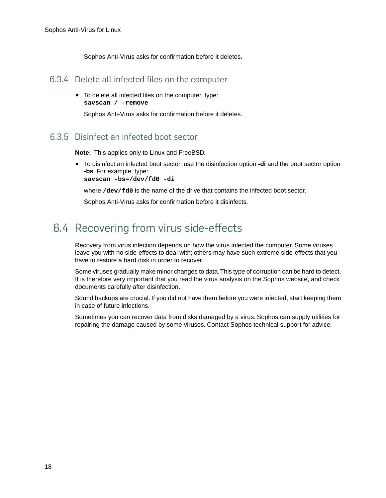Sophos Anti-Virus asks for confirmation before it deletes.

#### 6.3.4 Delete all infected files on the computer

■ To delete all infected files on the computer, type: **savscan / -remove**

Sophos Anti-Virus asks for confirmation before it deletes.

#### <span id="page-17-1"></span>6.3.5 Disinfect an infected boot sector

**Note:** This applies only to Linux and FreeBSD.

■ To disinfect an infected boot sector, use the disinfection option **-di** and the boot sector option **-bs**. For example, type:

**savscan -bs=/dev/fd0 -di**

where **/dev/fd0** is the name of the drive that contains the infected boot sector.

Sophos Anti-Virus asks for confirmation before it disinfects.

## <span id="page-17-2"></span><span id="page-17-0"></span>6.4 Recovering from virus side-effects

Recovery from virus infection depends on how the virus infected the computer. Some viruses leave you with no side-effects to deal with; others may have such extreme side-effects that you have to restore a hard disk in order to recover.

Some viruses gradually make minor changes to data.This type of corruption can be hard to detect. It is therefore very important that you read the virus analysis on the Sophos website, and check documents carefully after disinfection.

Sound backups are crucial. If you did not have them before you were infected, start keeping them in case of future infections.

Sometimes you can recover data from disks damaged by a virus. Sophos can supply utilities for repairing the damage caused by some viruses. Contact Sophos technical support for advice.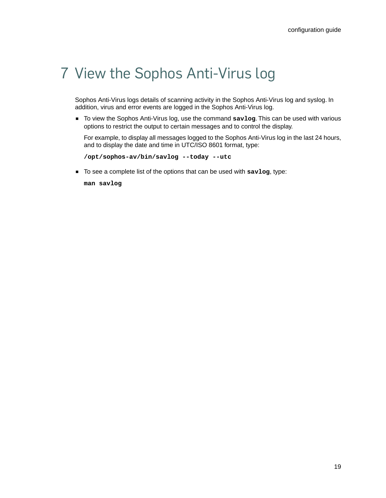## <span id="page-18-0"></span>7 View the Sophos Anti-Virus log

Sophos Anti-Virus logs details of scanning activity in the Sophos Anti-Virus log and syslog. In addition, virus and error events are logged in the Sophos Anti-Virus log.

■ To view the Sophos Anti-Virus log, use the command savlog. This can be used with various options to restrict the output to certain messages and to control the display.

For example, to display all messages logged to the Sophos Anti-Virus log in the last 24 hours, and to display the date and time in UTC/ISO 8601 format, type:

```
/opt/sophos-av/bin/savlog --today --utc
```
■ To see a complete list of the options that can be used with **savlog**, type:

**man savlog**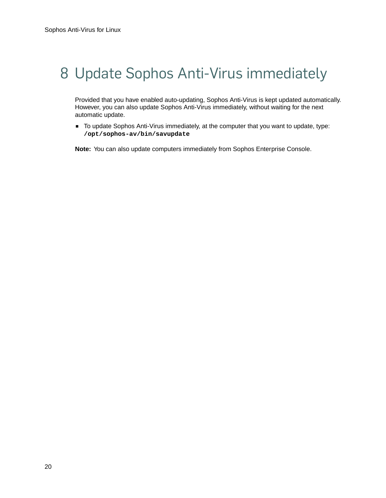## <span id="page-19-1"></span><span id="page-19-0"></span>8 Update Sophos Anti-Virus immediately

Provided that you have enabled auto-updating, Sophos Anti-Virus is kept updated automatically. However, you can also update Sophos Anti-Virus immediately, without waiting for the next automatic update.

■ To update Sophos Anti-Virus immediately, at the computer that you want to update, type: **/opt/sophos-av/bin/savupdate**

**Note:** You can also update computers immediately from Sophos Enterprise Console.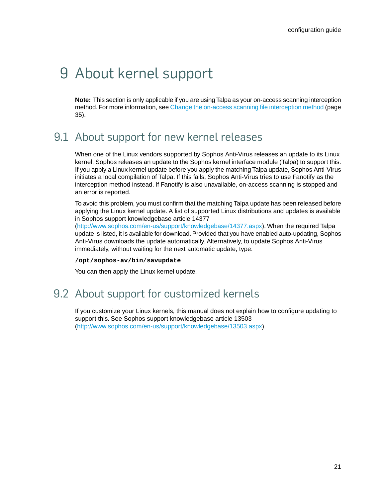## <span id="page-20-0"></span>9 About kernel support

**Note:** This section is only applicable if you are using Talpa as your on-access scanning interception method. For more information, see [Change the on-access scanning file interception method](#page-34-1) (page 35).

## <span id="page-20-4"></span><span id="page-20-1"></span>9.1 About support for new kernel releases

When one of the Linux vendors supported by Sophos Anti-Virus releases an update to its Linux kernel, Sophos releases an update to the Sophos kernel interface module (Talpa) to support this. If you apply a Linux kernel update before you apply the matching Talpa update, Sophos Anti-Virus initiates a local compilation of Talpa. If this fails, Sophos Anti-Virus tries to use Fanotify as the interception method instead. If Fanotify is also unavailable, on-access scanning is stopped and an error is reported.

To avoid this problem, you must confirm that the matching Talpa update has been released before applying the Linux kernel update. A list of supported Linux distributions and updates is available in Sophos support knowledgebase article 14377

[\(http://www.sophos.com/en-us/support/knowledgebase/14377.aspx\)](http://www.sophos.com/en-us/support/knowledgebase/14377.aspx). When the required Talpa update is listed, it is available for download. Provided that you have enabled auto-updating, Sophos Anti-Virus downloads the update automatically. Alternatively, to update Sophos Anti-Virus immediately, without waiting for the next automatic update, type:

<span id="page-20-3"></span>**/opt/sophos-av/bin/savupdate**

You can then apply the Linux kernel update.

## <span id="page-20-2"></span>9.2 About support for customized kernels

If you customize your Linux kernels, this manual does not explain how to configure updating to support this. See Sophos support knowledgebase article 13503 [\(http://www.sophos.com/en-us/support/knowledgebase/13503.aspx\)](http://www.sophos.com/en-us/support/knowledgebase/13503.aspx).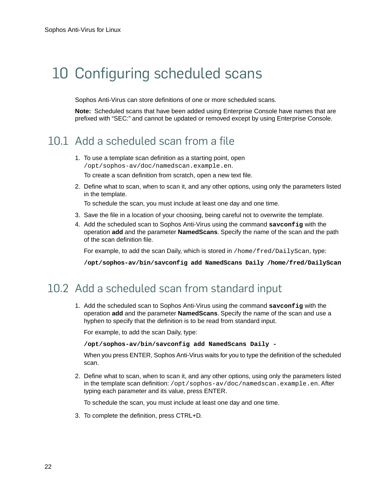## <span id="page-21-3"></span><span id="page-21-0"></span>10 Configuring scheduled scans

Sophos Anti-Virus can store definitions of one or more scheduled scans.

**Note:** Scheduled scans that have been added using Enterprise Console have names that are prefixed with "SEC:" and cannot be updated or removed except by using Enterprise Console.

### <span id="page-21-1"></span>10.1 Add a scheduled scan from a file

- 1. To use a template scan definition as a starting point, open /opt/sophos-av/doc/namedscan.example.en. To create a scan definition from scratch, open a new text file.
- 2. Define what to scan, when to scan it, and any other options, using only the parameters listed in the template.

To schedule the scan, you must include at least one day and one time.

- 3. Save the file in a location of your choosing, being careful not to overwrite the template.
- 4. Add the scheduled scan to Sophos Anti-Virus using the command **savconfig** with the operation **add** and the parameter **NamedScans**. Specify the name of the scan and the path of the scan definition file.

For example, to add the scan Daily, which is stored in /home/fred/DailyScan, type:

**/opt/sophos-av/bin/savconfig add NamedScans Daily /home/fred/DailyScan**

### <span id="page-21-2"></span>10.2 Add a scheduled scan from standard input

1. Add the scheduled scan to Sophos Anti-Virus using the command **savconfig** with the operation **add** and the parameter **NamedScans**. Specify the name of the scan and use a hyphen to specify that the definition is to be read from standard input.

For example, to add the scan Daily, type:

**/opt/sophos-av/bin/savconfig add NamedScans Daily -**

When you press ENTER, Sophos Anti-Virus waits for you to type the definition of the scheduled scan.

2. Define what to scan, when to scan it, and any other options, using only the parameters listed in the template scan definition: /opt/sophos-av/doc/namedscan.example.en. After typing each parameter and its value, press ENTER.

To schedule the scan, you must include at least one day and one time.

3. To complete the definition, press CTRL+D.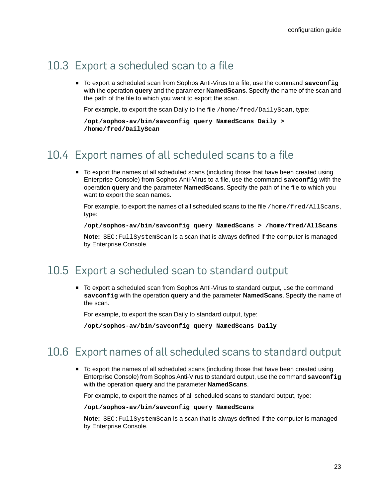## <span id="page-22-0"></span>10.3 Export a scheduled scan to a file

■ To export a scheduled scan from Sophos Anti-Virus to a file, use the command savconfig with the operation **query** and the parameter **NamedScans**. Specify the name of the scan and the path of the file to which you want to export the scan.

For example, to export the scan Daily to the file /home/fred/DailyScan, type:

```
/opt/sophos-av/bin/savconfig query NamedScans Daily >
/home/fred/DailyScan
```
### <span id="page-22-1"></span>10.4 Export names of all scheduled scans to a file

■ To export the names of all scheduled scans (including those that have been created using Enterprise Console) from Sophos Anti-Virus to a file, use the command **savconfig** with the operation **query** and the parameter **NamedScans**. Specify the path of the file to which you want to export the scan names.

For example, to export the names of all scheduled scans to the file /home/fred/AllScans, type:

```
/opt/sophos-av/bin/savconfig query NamedScans > /home/fred/AllScans
```
**Note:** SEC:FullSystemScan is a scan that is always defined if the computer is managed by Enterprise Console.

## <span id="page-22-2"></span>10.5 Export a scheduled scan to standard output

■ To export a scheduled scan from Sophos Anti-Virus to standard output, use the command **savconfig** with the operation **query** and the parameter **NamedScans**. Specify the name of the scan.

For example, to export the scan Daily to standard output, type:

**/opt/sophos-av/bin/savconfig query NamedScans Daily**

### <span id="page-22-3"></span>10.6 Export names of all scheduled scans to standard output

■ To export the names of all scheduled scans (including those that have been created using Enterprise Console) from Sophos Anti-Virus to standard output, use the command **savconfig** with the operation **query** and the parameter **NamedScans**.

For example, to export the names of all scheduled scans to standard output, type:

**/opt/sophos-av/bin/savconfig query NamedScans**

**Note:** SEC:FullSystemScan is a scan that is always defined if the computer is managed by Enterprise Console.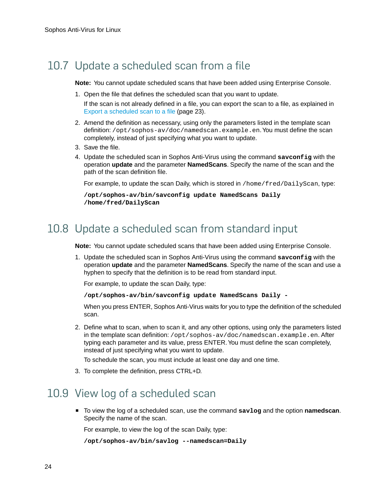## <span id="page-23-0"></span>10.7 Update a scheduled scan from a file

**Note:** You cannot update scheduled scans that have been added using Enterprise Console.

1. Open the file that defines the scheduled scan that you want to update.

If the scan is not already defined in a file, you can export the scan to a file, as explained in [Export a scheduled scan to a file](#page-22-0) (page 23).

- 2. Amend the definition as necessary, using only the parameters listed in the template scan definition: /opt/sophos-av/doc/namedscan.example.en.You must define the scan completely, instead of just specifying what you want to update.
- 3. Save the file.
- 4. Update the scheduled scan in Sophos Anti-Virus using the command **savconfig** with the operation **update** and the parameter **NamedScans**. Specify the name of the scan and the path of the scan definition file.

For example, to update the scan Daily, which is stored in /home/fred/DailyScan, type:

```
/opt/sophos-av/bin/savconfig update NamedScans Daily
/home/fred/DailyScan
```
### <span id="page-23-1"></span>10.8 Update a scheduled scan from standard input

**Note:** You cannot update scheduled scans that have been added using Enterprise Console.

1. Update the scheduled scan in Sophos Anti-Virus using the command **savconfig** with the operation **update** and the parameter **NamedScans**. Specify the name of the scan and use a hyphen to specify that the definition is to be read from standard input.

For example, to update the scan Daily, type:

**/opt/sophos-av/bin/savconfig update NamedScans Daily -**

When you press ENTER, Sophos Anti-Virus waits for you to type the definition of the scheduled scan.

2. Define what to scan, when to scan it, and any other options, using only the parameters listed in the template scan definition:  $\sqrt{\text{opt}}$  sophos-av/doc/namedscan.example.en. After typing each parameter and its value, press ENTER.You must define the scan completely, instead of just specifying what you want to update.

To schedule the scan, you must include at least one day and one time.

3. To complete the definition, press CTRL+D.

### <span id="page-23-2"></span>10.9 View log of a scheduled scan

■ To view the log of a scheduled scan, use the command **savlog** and the option **namedscan**. Specify the name of the scan.

For example, to view the log of the scan Daily, type:

```
/opt/sophos-av/bin/savlog --namedscan=Daily
```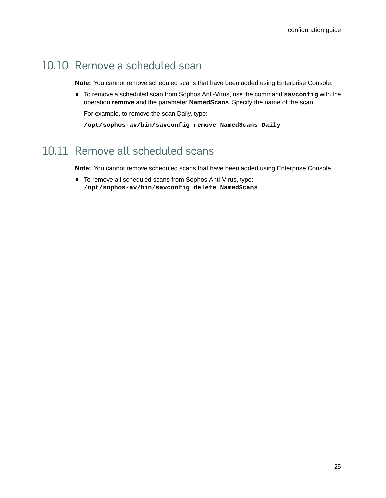## <span id="page-24-0"></span>10.10 Remove a scheduled scan

**Note:** You cannot remove scheduled scans that have been added using Enterprise Console.

■ To remove a scheduled scan from Sophos Anti-Virus, use the command savconfig with the operation **remove** and the parameter **NamedScans**. Specify the name of the scan.

For example, to remove the scan Daily, type:

**/opt/sophos-av/bin/savconfig remove NamedScans Daily**

## <span id="page-24-1"></span>10.11 Remove all scheduled scans

**Note:** You cannot remove scheduled scans that have been added using Enterprise Console.

■ To remove all scheduled scans from Sophos Anti-Virus, type: **/opt/sophos-av/bin/savconfig delete NamedScans**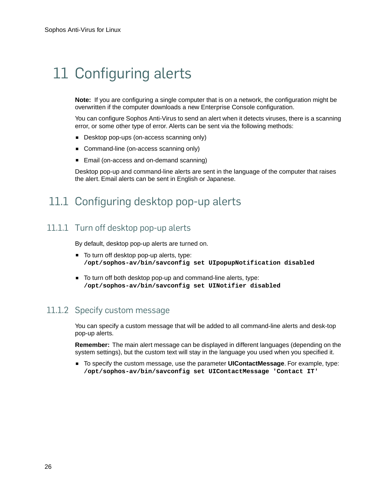## <span id="page-25-0"></span>11 Configuring alerts

**Note:** If you are configuring a single computer that is on a network, the configuration might be overwritten if the computer downloads a new Enterprise Console configuration.

You can configure Sophos Anti-Virus to send an alert when it detects viruses, there is a scanning error, or some other type of error. Alerts can be sent via the following methods:

- Desktop pop-ups (on-access scanning only)
- Command-line (on-access scanning only)
- Email (on-access and on-demand scanning)

Desktop pop-up and command-line alerts are sent in the language of the computer that raises the alert. Email alerts can be sent in English or Japanese.

### <span id="page-25-2"></span><span id="page-25-1"></span>11.1 Configuring desktop pop-up alerts

#### 11.1.1 Turn off desktop pop-up alerts

By default, desktop pop-up alerts are turned on.

- To turn off desktop pop-up alerts, type: **/opt/sophos-av/bin/savconfig set UIpopupNotification disabled**
- To turn off both desktop pop-up and command-line alerts, type: **/opt/sophos-av/bin/savconfig set UINotifier disabled**

#### 11.1.2 Specify custom message

You can specify a custom message that will be added to all command-line alerts and desk-top pop-up alerts.

**Remember:** The main alert message can be displayed in different languages (depending on the system settings), but the custom text will stay in the language you used when you specified it.

■ To specify the custom message, use the parameter **UIContactMessage**. For example, type: **/opt/sophos-av/bin/savconfig set UIContactMessage 'Contact IT'**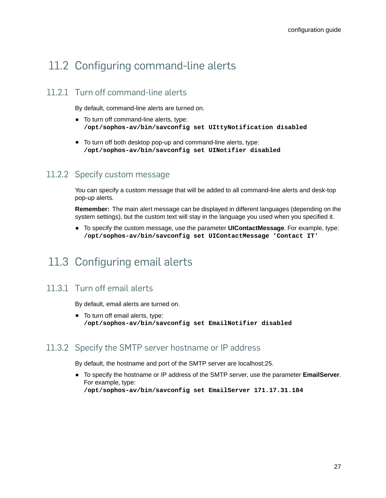## <span id="page-26-2"></span><span id="page-26-0"></span>11.2 Configuring command-line alerts

#### 11.2.1 Turn off command-line alerts

By default, command-line alerts are turned on.

- To turn off command-line alerts, type: **/opt/sophos-av/bin/savconfig set UIttyNotification disabled**
- To turn off both desktop pop-up and command-line alerts, type: **/opt/sophos-av/bin/savconfig set UINotifier disabled**

#### 11.2.2 Specify custom message

You can specify a custom message that will be added to all command-line alerts and desk-top pop-up alerts.

**Remember:** The main alert message can be displayed in different languages (depending on the system settings), but the custom text will stay in the language you used when you specified it.

<span id="page-26-3"></span>■ To specify the custom message, use the parameter **UIContactMessage**. For example, type: **/opt/sophos-av/bin/savconfig set UIContactMessage 'Contact IT'**

### <span id="page-26-1"></span>11.3 Configuring email alerts

#### 11.3.1 Turn off email alerts

By default, email alerts are turned on.

■ To turn off email alerts, type: **/opt/sophos-av/bin/savconfig set EmailNotifier disabled**

#### 11.3.2 Specify the SMTP server hostname or IP address

By default, the hostname and port of the SMTP server are localhost:25.

■ To specify the hostname or IP address of the SMTP server, use the parameter **EmailServer**. For example, type: **/opt/sophos-av/bin/savconfig set EmailServer 171.17.31.184**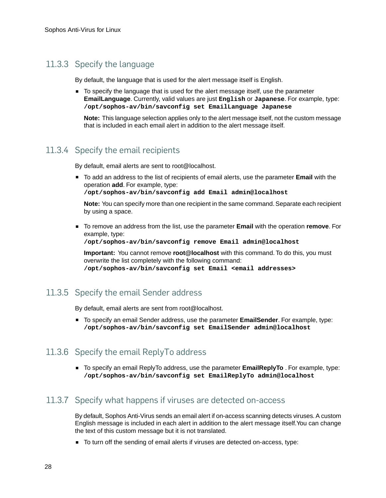#### 11.3.3 Specify the language

By default, the language that is used for the alert message itself is English.

■ To specify the language that is used for the alert message itself, use the parameter **EmailLanguage**. Currently, valid values are just **English** or **Japanese**. For example, type: **/opt/sophos-av/bin/savconfig set EmailLanguage Japanese**

**Note:** This language selection applies only to the alert message itself, not the custom message that is included in each email alert in addition to the alert message itself.

#### 11.3.4 Specify the email recipients

By default, email alerts are sent to root@localhost.

■ To add an address to the list of recipients of email alerts, use the parameter **Email** with the operation **add**. For example, type:

**/opt/sophos-av/bin/savconfig add Email admin@localhost**

**Note:** You can specify more than one recipient in the same command. Separate each recipient by using a space.

■ To remove an address from the list, use the parameter **Email** with the operation **remove**. For example, type:

**/opt/sophos-av/bin/savconfig remove Email admin@localhost**

**Important:** You cannot remove **root@localhost** with this command. To do this, you must overwrite the list completely with the following command: **/opt/sophos-av/bin/savconfig set Email <email addresses>**

#### 11.3.5 Specify the email Sender address

By default, email alerts are sent from root@localhost.

■ To specify an email Sender address, use the parameter **EmailSender**. For example, type: **/opt/sophos-av/bin/savconfig set EmailSender admin@localhost**

#### 11.3.6 Specify the email ReplyTo address

■ To specify an email ReplyTo address, use the parameter **EmailReplyTo** . For example, type: **/opt/sophos-av/bin/savconfig set EmailReplyTo admin@localhost**

#### 11.3.7 Specify what happens if viruses are detected on-access

By default, Sophos Anti-Virus sends an email alert if on-access scanning detects viruses. A custom English message is included in each alert in addition to the alert message itself.You can change the text of this custom message but it is not translated.

■ To turn off the sending of email alerts if viruses are detected on-access, type: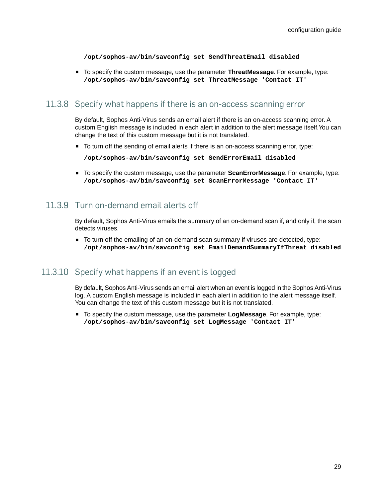**/opt/sophos-av/bin/savconfig set SendThreatEmail disabled**

■ To specify the custom message, use the parameter **ThreatMessage**. For example, type: **/opt/sophos-av/bin/savconfig set ThreatMessage 'Contact IT'**

#### 11.3.8 Specify what happens if there is an on-access scanning error

By default, Sophos Anti-Virus sends an email alert if there is an on-access scanning error. A custom English message is included in each alert in addition to the alert message itself.You can change the text of this custom message but it is not translated.

■ To turn off the sending of email alerts if there is an on-access scanning error, type:

**/opt/sophos-av/bin/savconfig set SendErrorEmail disabled**

■ To specify the custom message, use the parameter **ScanErrorMessage**. For example, type: **/opt/sophos-av/bin/savconfig set ScanErrorMessage 'Contact IT'**

#### <span id="page-28-0"></span>11.3.9 Turn on-demand email alerts off

By default, Sophos Anti-Virus emails the summary of an on-demand scan if, and only if, the scan detects viruses.

■ To turn off the emailing of an on-demand scan summary if viruses are detected, type: **/opt/sophos-av/bin/savconfig set EmailDemandSummaryIfThreat disabled**

#### 11.3.10 Specify what happens if an event is logged

By default, Sophos Anti-Virus sends an email alert when an event is logged in the Sophos Anti-Virus log. A custom English message is included in each alert in addition to the alert message itself. You can change the text of this custom message but it is not translated.

■ To specify the custom message, use the parameter **LogMessage**. For example, type: **/opt/sophos-av/bin/savconfig set LogMessage 'Contact IT'**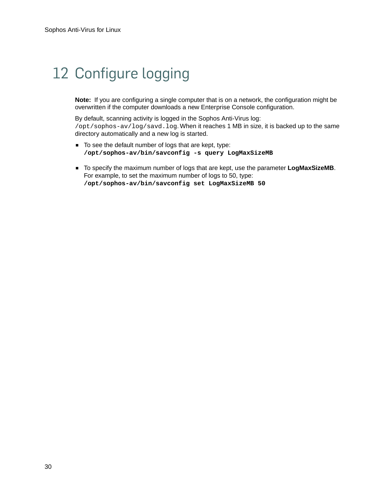## <span id="page-29-1"></span><span id="page-29-0"></span>12 Configure logging

**Note:** If you are configuring a single computer that is on a network, the configuration might be overwritten if the computer downloads a new Enterprise Console configuration.

By default, scanning activity is logged in the Sophos Anti-Virus log: /opt/sophos-av/log/savd.log. When it reaches 1 MB in size, it is backed up to the same directory automatically and a new log is started.

- To see the default number of logs that are kept, type: **/opt/sophos-av/bin/savconfig -s query LogMaxSizeMB**
- To specify the maximum number of logs that are kept, use the parameter **LogMaxSizeMB**. For example, to set the maximum number of logs to 50, type: **/opt/sophos-av/bin/savconfig set LogMaxSizeMB 50**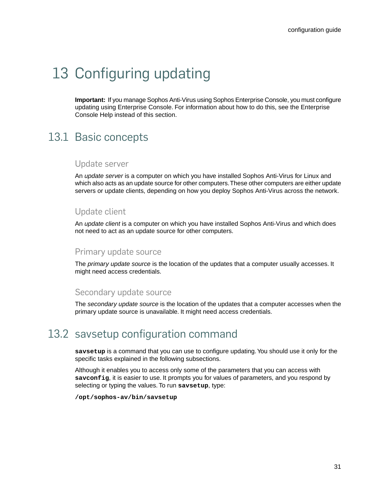## <span id="page-30-4"></span><span id="page-30-0"></span>13 Configuring updating

**Important:** If you manage Sophos Anti-Virus using Sophos Enterprise Console, you must configure updating using Enterprise Console. For information about how to do this, see the Enterprise Console Help instead of this section.

## <span id="page-30-1"></span>13.1 Basic concepts

#### Update server

An *update server* is a computer on which you have installed Sophos Anti-Virus for Linux and which also acts as an update source for other computers.These other computers are either update servers or update clients, depending on how you deploy Sophos Anti-Virus across the network.

#### Update client

An *update client* is a computer on which you have installed Sophos Anti-Virus and which does not need to act as an update source for other computers.

#### Primary update source

The *primary update source* is the location of the updates that a computer usually accesses. It might need access credentials.

#### <span id="page-30-3"></span>Secondary update source

The *secondary update source* is the location of the updates that a computer accesses when the primary update source is unavailable. It might need access credentials.

## <span id="page-30-2"></span>13.2 savsetup configuration command

**savsetup** is a command that you can use to configure updating.You should use it only for the specific tasks explained in the following subsections.

Although it enables you to access only some of the parameters that you can access with **savconfig**, it is easier to use. It prompts you for values of parameters, and you respond by selecting or typing the values. To run **savsetup**, type:

**/opt/sophos-av/bin/savsetup**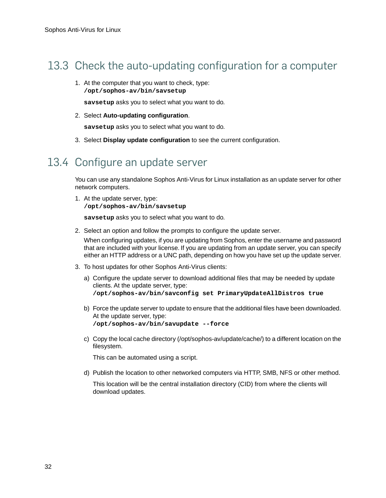## <span id="page-31-0"></span>13.3 Check the auto-updating configuration for a computer

1. At the computer that you want to check, type: **/opt/sophos-av/bin/savsetup**

**savsetup** asks you to select what you want to do.

2. Select **Auto-updating configuration**.

**savsetup** asks you to select what you want to do.

3. Select **Display update configuration** to see the current configuration.

### <span id="page-31-1"></span>13.4 Configure an update server

You can use any standalone Sophos Anti-Virus for Linux installation as an update server for other network computers.

1. At the update server, type: **/opt/sophos-av/bin/savsetup**

**savsetup** asks you to select what you want to do.

2. Select an option and follow the prompts to configure the update server.

When configuring updates, if you are updating from Sophos, enter the username and password that are included with your license. If you are updating from an update server, you can specify either an HTTP address or a UNC path, depending on how you have set up the update server.

- 3. To host updates for other Sophos Anti-Virus clients:
	- a) Configure the update server to download additional files that may be needed by update clients. At the update server, type: **/opt/sophos-av/bin/savconfig set PrimaryUpdateAllDistros true**
	- b) Force the update server to update to ensure that the additional files have been downloaded. At the update server, type: **/opt/sophos-av/bin/savupdate --force**
	- c) Copy the local cache directory (/opt/sophos-av/update/cache/) to a different location on the filesystem.

This can be automated using a script.

d) Publish the location to other networked computers via HTTP, SMB, NFS or other method.

This location will be the central installation directory (CID) from where the clients will download updates.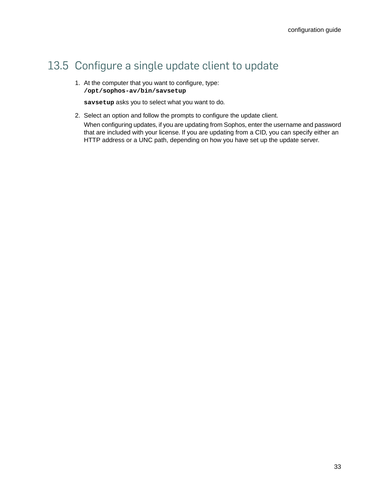## <span id="page-32-0"></span>13.5 Configure a single update client to update

1. At the computer that you want to configure, type: **/opt/sophos-av/bin/savsetup**

**savsetup** asks you to select what you want to do.

- 2. Select an option and follow the prompts to configure the update client.
	- When configuring updates, if you are updating from Sophos, enter the username and password that are included with your license. If you are updating from a CID, you can specify either an HTTP address or a UNC path, depending on how you have set up the update server.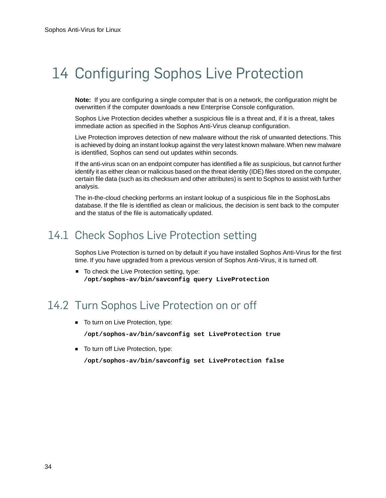## <span id="page-33-3"></span><span id="page-33-0"></span>14 Configuring Sophos Live Protection

**Note:** If you are configuring a single computer that is on a network, the configuration might be overwritten if the computer downloads a new Enterprise Console configuration.

Sophos Live Protection decides whether a suspicious file is a threat and, if it is a threat, takes immediate action as specified in the Sophos Anti-Virus cleanup configuration.

Live Protection improves detection of new malware without the risk of unwanted detections. This is achieved by doing an instant lookup against the very latest known malware.When new malware is identified, Sophos can send out updates within seconds.

If the anti-virus scan on an endpoint computer has identified a file as suspicious, but cannot further identify it as either clean or malicious based on the threat identity (IDE) files stored on the computer, certain file data (such as its checksum and other attributes) is sent to Sophos to assist with further analysis.

The in-the-cloud checking performs an instant lookup of a suspicious file in the SophosLabs database. If the file is identified as clean or malicious, the decision is sent back to the computer and the status of the file is automatically updated.

## <span id="page-33-1"></span>14.1 Check Sophos Live Protection setting

Sophos Live Protection is turned on by default if you have installed Sophos Anti-Virus for the first time. If you have upgraded from a previous version of Sophos Anti-Virus, it is turned off.

■ To check the Live Protection setting, type: **/opt/sophos-av/bin/savconfig query LiveProtection**

## <span id="page-33-2"></span>14.2 Turn Sophos Live Protection on or off

- To turn on Live Protection, type: **/opt/sophos-av/bin/savconfig set LiveProtection true**
- To turn off Live Protection, type:

**/opt/sophos-av/bin/savconfig set LiveProtection false**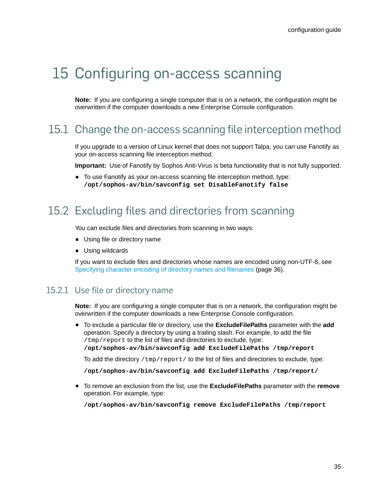## <span id="page-34-0"></span>15 Configuring on-access scanning

**Note:** If you are configuring a single computer that is on a network, the configuration might be overwritten if the computer downloads a new Enterprise Console configuration.

### <span id="page-34-4"></span><span id="page-34-1"></span>15.1 Change the on-access scanning file interception method

If you upgrade to a version of Linux kernel that does not support Talpa, you can use Fanotify as your on-access scanning file interception method.

**Important:** Use of Fanotify by Sophos Anti-Virus is beta functionality that is not fully supported.

■ To use Fanotify as your on-access scanning file interception method, type: **/opt/sophos-av/bin/savconfig set DisableFanotify false**

### <span id="page-34-3"></span><span id="page-34-2"></span>15.2 Excluding files and directories from scanning

You can exclude files and directories from scanning in two ways:

- Using file or directory name
- Using wildcards

If you want to exclude files and directories whose names are encoded using non-UTF-8, see [Specifying character encoding of directory names and filenames](#page-35-0) (page 36).

#### 15.2.1 Use file or directory name

**Note:** If you are configuring a single computer that is on a network, the configuration might be overwritten if the computer downloads a new Enterprise Console configuration.

■ To exclude a particular file or directory, use the **ExcludeFilePaths** parameter with the **add** operation. Specify a directory by using a trailing slash. For example, to add the file /tmp/report to the list of files and directories to exclude, type: **/opt/sophos-av/bin/savconfig add ExcludeFilePaths /tmp/report**

To add the directory  $/\text{tmp/report/}$  to the list of files and directories to exclude, type:

**/opt/sophos-av/bin/savconfig add ExcludeFilePaths /tmp/report/**

■ To remove an exclusion from the list, use the **ExcludeFilePaths** parameter with the **remove** operation. For example, type:

**/opt/sophos-av/bin/savconfig remove ExcludeFilePaths /tmp/report**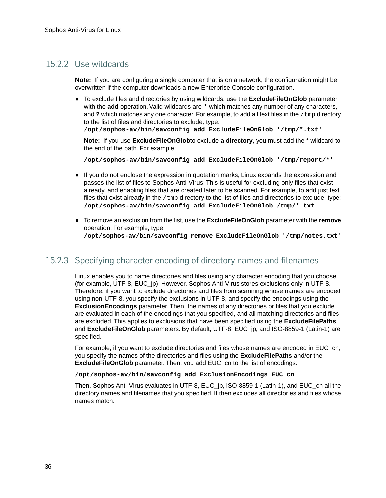#### 15.2.2 Use wildcards

**Note:** If you are configuring a single computer that is on a network, the configuration might be overwritten if the computer downloads a new Enterprise Console configuration.

■ To exclude files and directories by using wildcards, use the **ExcludeFileOnGlob** parameter with the **add** operation. Valid wildcards are **\*** which matches any number of any characters, and **?** which matches any one character. For example, to add all text files in the /tmp directory to the list of files and directories to exclude, type:

**/opt/sophos-av/bin/savconfig add ExcludeFileOnGlob '/tmp/\*.txt'**

**Note:** If you use **ExcludeFileOnGlob**to exclude **a directory**, you must add the \* wildcard to the end of the path. For example:

**/opt/sophos-av/bin/savconfig add ExcludeFileOnGlob '/tmp/report/\*'**

- If you do not enclose the expression in quotation marks, Linux expands the expression and passes the list of files to Sophos Anti-Virus. This is useful for excluding only files that exist already, and enabling files that are created later to be scanned. For example, to add just text files that exist already in the /tmp directory to the list of files and directories to exclude, type: **/opt/sophos-av/bin/savconfig add ExcludeFileOnGlob /tmp/\*.txt**
- To remove an exclusion from the list, use the **ExcludeFileOnGlob** parameter with the **remove** operation. For example, type: **/opt/sophos-av/bin/savconfig remove ExcludeFileOnGlob '/tmp/notes.txt'**

#### <span id="page-35-1"></span><span id="page-35-0"></span>15.2.3 Specifying character encoding of directory names and filenames

Linux enables you to name directories and files using any character encoding that you choose (for example, UTF-8, EUC\_jp). However, Sophos Anti-Virus stores exclusions only in UTF-8. Therefore, if you want to exclude directories and files from scanning whose names are encoded using non-UTF-8, you specify the exclusions in UTF-8, and specify the encodings using the **ExclusionEncodings** parameter. Then, the names of any directories or files that you exclude are evaluated in each of the encodings that you specified, and all matching directories and files are excluded. This applies to exclusions that have been specified using the **ExcludeFilePaths** and **ExcludeFileOnGlob** parameters. By default, UTF-8, EUC\_jp, and ISO-8859-1 (Latin-1) are specified.

For example, if you want to exclude directories and files whose names are encoded in EUC\_cn, you specify the names of the directories and files using the **ExcludeFilePaths** and/or the **ExcludeFileOnGlob** parameter. Then, you add EUC\_cn to the list of encodings:

#### **/opt/sophos-av/bin/savconfig add ExclusionEncodings EUC\_cn**

Then, Sophos Anti-Virus evaluates in UTF-8, EUC\_jp, ISO-8859-1 (Latin-1), and EUC\_cn all the directory names and filenames that you specified. It then excludes all directories and files whose names match.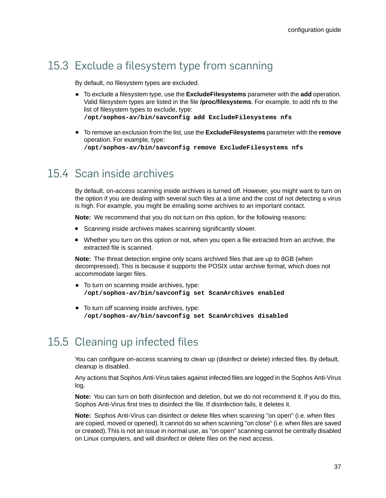## <span id="page-36-0"></span>15.3 Exclude a filesystem type from scanning

By default, no filesystem types are excluded.

- To exclude a filesystem type, use the **ExcludeFilesystems** parameter with the **add** operation. Valid filesystem types are listed in the file **/proc/filesystems**. For example, to add nfs to the list of filesystem types to exclude, type: **/opt/sophos-av/bin/savconfig add ExcludeFilesystems nfs**
- To remove an exclusion from the list, use the **ExcludeFilesystems** parameter with the **remove** operation. For example, type: **/opt/sophos-av/bin/savconfig remove ExcludeFilesystems nfs**

### <span id="page-36-1"></span>15.4 Scan inside archives

By default, on-access scanning inside archives is turned off. However, you might want to turn on the option if you are dealing with several such files at a time and the cost of not detecting a virus is high. For example, you might be emailing some archives to an important contact.

**Note:** We recommend that you do not turn on this option, for the following reasons:

- Scanning inside archives makes scanning significantly slower.
- Whether you turn on this option or not, when you open a file extracted from an archive, the extracted file is scanned.

**Note:** The threat detection engine only scans archived files that are up to 8GB (when decompressed). This is because it supports the POSIX ustar archive format, which does not accommodate larger files.

- To turn *on* scanning inside archives, type: **/opt/sophos-av/bin/savconfig set ScanArchives enabled**
- <span id="page-36-3"></span>■ To turn *off* scanning inside archives, type: **/opt/sophos-av/bin/savconfig set ScanArchives disabled**

## <span id="page-36-2"></span>15.5 Cleaning up infected files

You can configure on-access scanning to clean up (disinfect or delete) infected files. By default, cleanup is disabled.

Any actions that Sophos Anti-Virus takes against infected files are logged in the Sophos Anti-Virus log.

**Note:** You can turn on both disinfection and deletion, but we do not recommend it. If you do this, Sophos Anti-Virus first tries to disinfect the file. If disinfection fails, it deletes it.

**Note:** Sophos Anti-Virus can disinfect or delete files when scanning "on open" (i.e. when files are copied, moved or opened). It cannot do so when scanning "on close" (i.e. when files are saved or created).This is not an issue in normal use, as "on open" scanning cannot be centrally disabled on Linux computers, and will disinfect or delete files on the next access.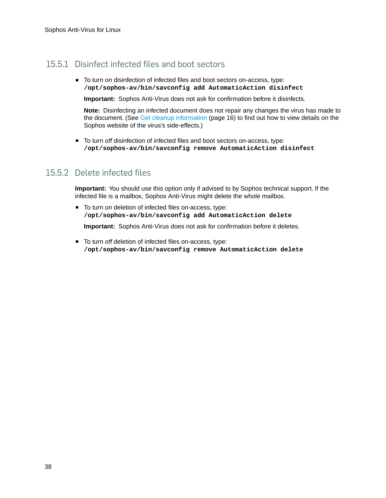#### 15.5.1 Disinfect infected files and boot sectors

■ To turn *on* disinfection of infected files and boot sectors on-access, type: **/opt/sophos-av/bin/savconfig add AutomaticAction disinfect**

**Important:** Sophos Anti-Virus does not ask for confirmation before it disinfects.

**Note:** Disinfecting an infected document does not repair any changes the virus has made to the document. (See [Get cleanup information](#page-15-1) (page 16) to find out how to view details on the Sophos website of the virus's side-effects.)

■ To turn *off* disinfection of infected files and boot sectors on-access, type: **/opt/sophos-av/bin/savconfig remove AutomaticAction disinfect**

#### 15.5.2 Delete infected files

**Important:** You should use this option only if advised to by Sophos technical support. If the infected file is a mailbox, Sophos Anti-Virus might delete the whole mailbox.

■ To turn *on* deletion of infected files on-access, type: **/opt/sophos-av/bin/savconfig add AutomaticAction delete**

**Important:** Sophos Anti-Virus does not ask for confirmation before it deletes.

■ To turn *off* deletion of infected files on-access, type: **/opt/sophos-av/bin/savconfig remove AutomaticAction delete**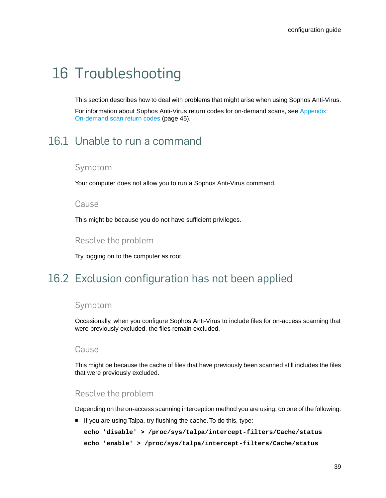## <span id="page-38-0"></span>16 Troubleshooting

This section describes how to deal with problems that might arise when using Sophos Anti-Virus.

For information about Sophos Anti-Virus return codes for on-demand scans, see [Appendix:](#page-44-0) [On-demand scan return codes](#page-44-0) (page 45).

## <span id="page-38-1"></span>16.1 Unable to run a command

#### Symptom

Your computer does not allow you to run a Sophos Anti-Virus command.

#### Cause

This might be because you do not have sufficient privileges.

#### Resolve the problem

Try logging on to the computer as root.

## <span id="page-38-2"></span>16.2 Exclusion configuration has not been applied

#### Symptom

Occasionally, when you configure Sophos Anti-Virus to include files for on-access scanning that were previously excluded, the files remain excluded.

#### Cause

This might be because the cache of files that have previously been scanned still includes the files that were previously excluded.

#### Resolve the problem

Depending on the on-access scanning interception method you are using, do one of the following:

■ If you are using Talpa, try flushing the cache. To do this, type:

```
echo 'disable' > /proc/sys/talpa/intercept-filters/Cache/status
echo 'enable' > /proc/sys/talpa/intercept-filters/Cache/status
```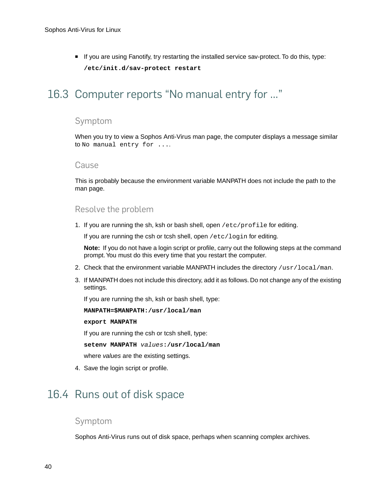■ If you are using Fanotify, try restarting the installed service sav-protect. To do this, type: **/etc/init.d/sav-protect restart**

## <span id="page-39-3"></span><span id="page-39-0"></span>16.3 Computer reports "No manual entry for …"

#### Symptom

When you try to view a Sophos Anti-Virus man page, the computer displays a message similar to No manual entry for ....

#### Cause

This is probably because the environment variable MANPATH does not include the path to the man page.

#### Resolve the problem

1. If you are running the sh, ksh or bash shell, open /etc/profile for editing.

If you are running the csh or tcsh shell, open /etc/login for editing.

**Note:** If you do not have a login script or profile, carry out the following steps at the command prompt.You must do this every time that you restart the computer.

- 2. Check that the environment variable MANPATH includes the directory /usr/local/man.
- 3. If MANPATH does not include this directory, add it as follows. Do not change any of the existing settings.

If you are running the sh, ksh or bash shell, type:

**MANPATH=\$MANPATH:/usr/local/man**

**export MANPATH**

If you are running the csh or tcsh shell, type:

**setenv MANPATH** *values***:/usr/local/man**

where *values* are the existing settings.

<span id="page-39-2"></span>4. Save the login script or profile.

### <span id="page-39-1"></span>16.4 Runs out of disk space

#### Symptom

Sophos Anti-Virus runs out of disk space, perhaps when scanning complex archives.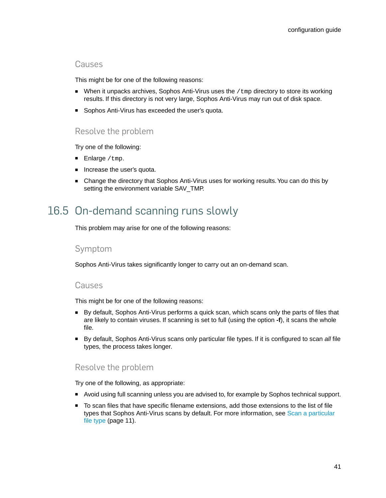#### Causes

This might be for one of the following reasons:

- When it unpacks archives, Sophos Anti-Virus uses the  $/$ tmp directory to store its working results. If this directory is not very large, Sophos Anti-Virus may run out of disk space.
- Sophos Anti-Virus has exceeded the user's quota.

#### Resolve the problem

Try one of the following:

- Enlarge /tmp.
- Increase the user's quota.
- Change the directory that Sophos Anti-Virus uses for working results. You can do this by setting the environment variable SAV\_TMP.

## <span id="page-40-1"></span><span id="page-40-0"></span>16.5 On-demand scanning runs slowly

This problem may arise for one of the following reasons:

#### Symptom

Sophos Anti-Virus takes significantly longer to carry out an on-demand scan.

#### Causes

This might be for one of the following reasons:

- By default, Sophos Anti-Virus performs a quick scan, which scans only the parts of files that are likely to contain viruses. If scanning is set to full (using the option **-f**), it scans the whole file.
- By default, Sophos Anti-Virus scans only particular file types. If it is configured to scan *all* file types, the process takes longer.

#### Resolve the problem

Try one of the following, as appropriate:

- Avoid using full scanning unless you are advised to, for example by Sophos technical support.
- To scan files that have specific filename extensions, add those extensions to the list of file types that Sophos Anti-Virus scans by default. For more information, see [Scan a particular](#page-10-1) [file type](#page-10-1) (page 11).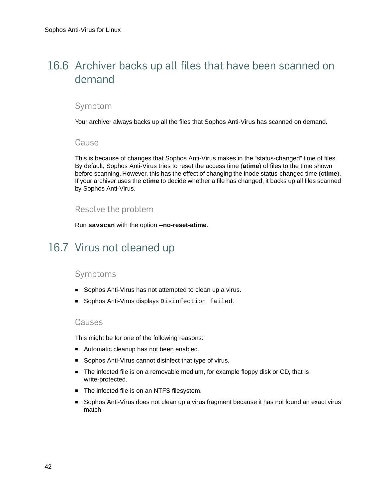## <span id="page-41-2"></span><span id="page-41-0"></span>16.6 Archiver backs up all files that have been scanned on demand

#### Symptom

Your archiver always backs up all the files that Sophos Anti-Virus has scanned on demand.

#### Cause

This is because of changes that Sophos Anti-Virus makes in the "status-changed" time of files. By default, Sophos Anti-Virus tries to reset the access time (**atime**) of files to the time shown before scanning. However, this has the effect of changing the inode status-changed time (**ctime**). If your archiver uses the **ctime** to decide whether a file has changed, it backs up all files scanned by Sophos Anti-Virus.

#### Resolve the problem

Run **savscan** with the option **--no-reset-atime**.

## <span id="page-41-3"></span><span id="page-41-1"></span>16.7 Virus not cleaned up

#### Symptoms

- Sophos Anti-Virus has not attempted to clean up a virus.
- Sophos Anti-Virus displays Disinfection failed.

#### Causes

This might be for one of the following reasons:

- Automatic cleanup has not been enabled.
- Sophos Anti-Virus cannot disinfect that type of virus.
- The infected file is on a removable medium, for example floppy disk or CD, that is write-protected.
- The infected file is on an NTFS filesystem.
- Sophos Anti-Virus does not clean up a virus fragment because it has not found an exact virus match.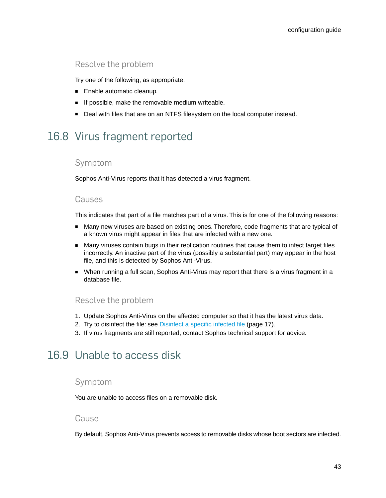#### Resolve the problem

Try one of the following, as appropriate:

- Enable automatic cleanup.
- If possible, make the removable medium writeable.
- Deal with files that are on an NTFS filesystem on the local computer instead.

## <span id="page-42-3"></span><span id="page-42-0"></span>16.8 Virus fragment reported

#### Symptom

Sophos Anti-Virus reports that it has detected a virus fragment.

#### Causes

This indicates that part of a file matches part of a virus. This is for one of the following reasons:

- Many new viruses are based on existing ones. Therefore, code fragments that are typical of a known virus might appear in files that are infected with a new one.
- Many viruses contain bugs in their replication routines that cause them to infect target files incorrectly. An inactive part of the virus (possibly a substantial part) may appear in the host file, and this is detected by Sophos Anti-Virus.
- When running a full scan, Sophos Anti-Virus may report that there is a virus fragment in a database file.

#### Resolve the problem

- <span id="page-42-2"></span>1. Update Sophos Anti-Virus on the affected computer so that it has the latest virus data.
- 2. Try to disinfect the file: see [Disinfect a specific infected file](#page-16-1) (page 17).
- 3. If virus fragments are still reported, contact Sophos technical support for advice.

### <span id="page-42-1"></span>16.9 Unable to access disk

#### Symptom

You are unable to access files on a removable disk.

#### Cause

By default, Sophos Anti-Virus prevents access to removable disks whose boot sectors are infected.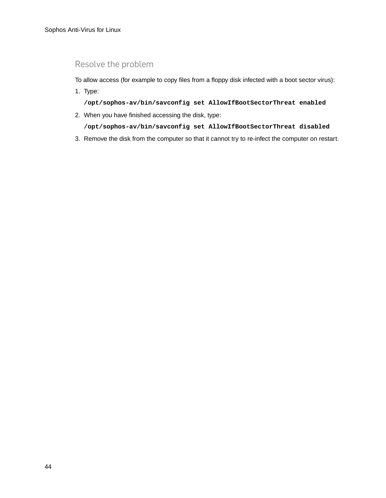#### Resolve the problem

To allow access (for example to copy files from a floppy disk infected with a boot sector virus):

1. Type:

**/opt/sophos-av/bin/savconfig set AllowIfBootSectorThreat enabled**

2. When you have finished accessing the disk, type:

**/opt/sophos-av/bin/savconfig set AllowIfBootSectorThreat disabled**

3. Remove the disk from the computer so that it cannot try to re-infect the computer on restart.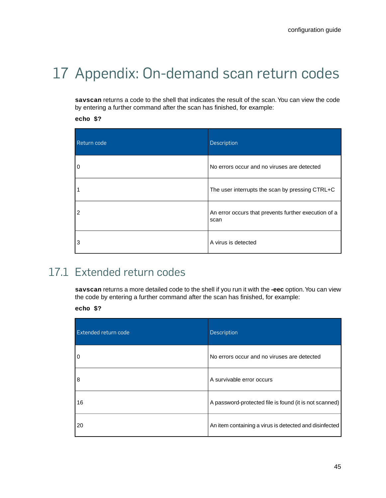## <span id="page-44-2"></span><span id="page-44-0"></span>17 Appendix: On-demand scan return codes

**savscan** returns a code to the shell that indicates the result of the scan.You can view the code by entering a further command after the scan has finished, for example:

**echo \$?**

| Return code    | Description                                                  |
|----------------|--------------------------------------------------------------|
| $\mathbf 0$    | No errors occur and no viruses are detected                  |
|                | The user interrupts the scan by pressing CTRL+C              |
| $\overline{2}$ | An error occurs that prevents further execution of a<br>scan |
| 3              | A virus is detected                                          |

## <span id="page-44-1"></span>17.1 Extended return codes

**savscan** returns a more detailed code to the shell if you run it with the **-eec** option.You can view the code by entering a further command after the scan has finished, for example:

**echo \$?**

| Extended return code | <b>Description</b>                                     |
|----------------------|--------------------------------------------------------|
| 0                    | No errors occur and no viruses are detected            |
| 8                    | A survivable error occurs                              |
| 16                   | A password-protected file is found (it is not scanned) |
| 20                   | An item containing a virus is detected and disinfected |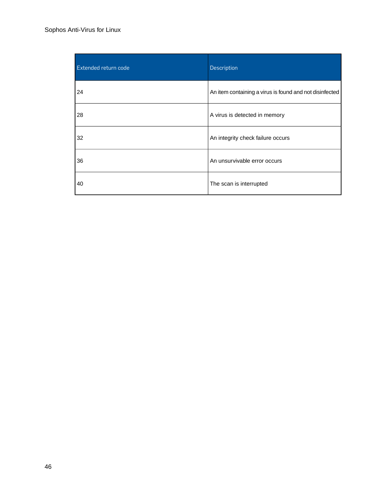#### Sophos Anti-Virus for Linux

| <b>Extended return code</b> | Description                                             |
|-----------------------------|---------------------------------------------------------|
| 24                          | An item containing a virus is found and not disinfected |
| 28                          | A virus is detected in memory                           |
| 32                          | An integrity check failure occurs                       |
| 36                          | An unsurvivable error occurs                            |
| 40                          | The scan is interrupted                                 |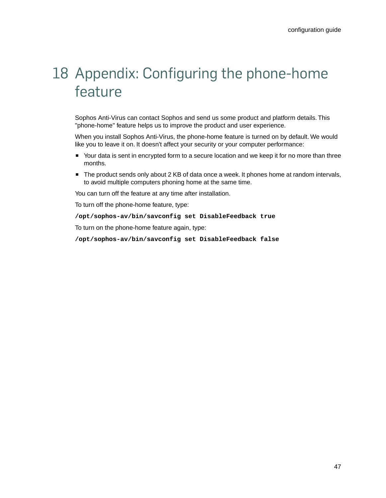## <span id="page-46-0"></span>18 Appendix: Configuring the phone-home feature

Sophos Anti-Virus can contact Sophos and send us some product and platform details. This "phone-home" feature helps us to improve the product and user experience.

When you install Sophos Anti-Virus, the phone-home feature is turned on by default. We would like you to leave it on. It doesn't affect your security or your computer performance:

- Your data is sent in encrypted form to a secure location and we keep it for no more than three months.
- The product sends only about 2 KB of data once a week. It phones home at random intervals, to avoid multiple computers phoning home at the same time.

You can turn off the feature at any time after installation.

To turn off the phone-home feature, type:

**/opt/sophos-av/bin/savconfig set DisableFeedback true**

To turn on the phone-home feature again, type:

**/opt/sophos-av/bin/savconfig set DisableFeedback false**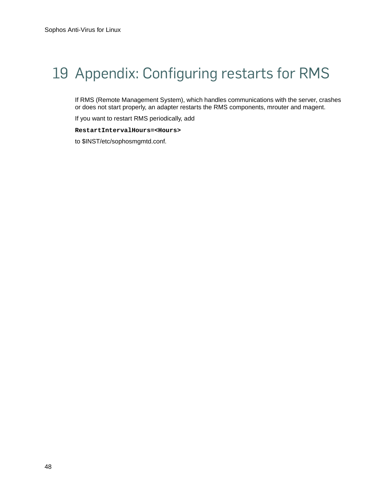## <span id="page-47-0"></span>19 Appendix: Configuring restarts for RMS

If RMS (Remote Management System), which handles communications with the server, crashes or does not start properly, an adapter restarts the RMS components, mrouter and magent.

If you want to restart RMS periodically, add

**RestartIntervalHours=<Hours>**

to \$INST/etc/sophosmgmtd.conf.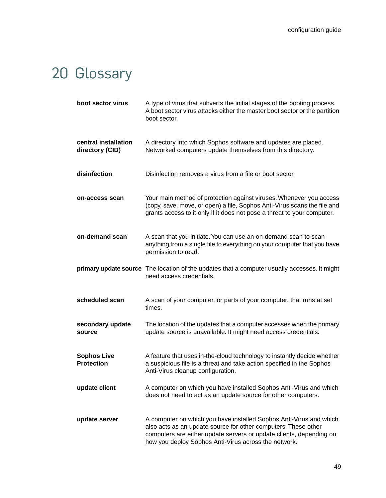## <span id="page-48-0"></span>20 Glossary

| boot sector virus                       | A type of virus that subverts the initial stages of the booting process.<br>A boot sector virus attacks either the master boot sector or the partition<br>boot sector.                                                                                              |
|-----------------------------------------|---------------------------------------------------------------------------------------------------------------------------------------------------------------------------------------------------------------------------------------------------------------------|
| central installation<br>directory (CID) | A directory into which Sophos software and updates are placed.<br>Networked computers update themselves from this directory.                                                                                                                                        |
| disinfection                            | Disinfection removes a virus from a file or boot sector.                                                                                                                                                                                                            |
| on-access scan                          | Your main method of protection against viruses. Whenever you access<br>(copy, save, move, or open) a file, Sophos Anti-Virus scans the file and<br>grants access to it only if it does not pose a threat to your computer.                                          |
| on-demand scan                          | A scan that you initiate. You can use an on-demand scan to scan<br>anything from a single file to everything on your computer that you have<br>permission to read.                                                                                                  |
|                                         | primary update source The location of the updates that a computer usually accesses. It might<br>need access credentials.                                                                                                                                            |
| scheduled scan                          | A scan of your computer, or parts of your computer, that runs at set<br>times.                                                                                                                                                                                      |
| secondary update<br>source              | The location of the updates that a computer accesses when the primary<br>update source is unavailable. It might need access credentials.                                                                                                                            |
| <b>Sophos Live</b><br><b>Protection</b> | A feature that uses in-the-cloud technology to instantly decide whether<br>a suspicious file is a threat and take action specified in the Sophos<br>Anti-Virus cleanup configuration.                                                                               |
| update client                           | A computer on which you have installed Sophos Anti-Virus and which<br>does not need to act as an update source for other computers.                                                                                                                                 |
| update server                           | A computer on which you have installed Sophos Anti-Virus and which<br>also acts as an update source for other computers. These other<br>computers are either update servers or update clients, depending on<br>how you deploy Sophos Anti-Virus across the network. |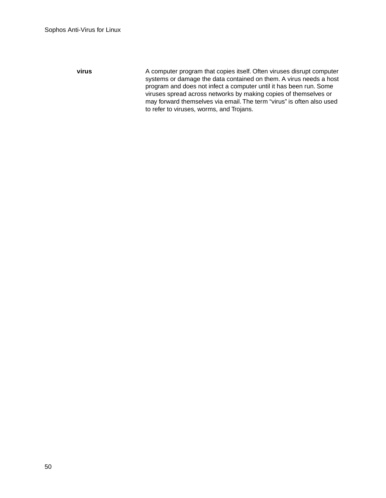**virus**

A computer program that copies itself. Often viruses disrupt computer systems or damage the data contained on them. A virus needs a host program and does not infect a computer until it has been run. Some viruses spread across networks by making copies of themselves or may forward themselves via email. The term "virus" is often also used to refer to viruses, worms, and Trojans.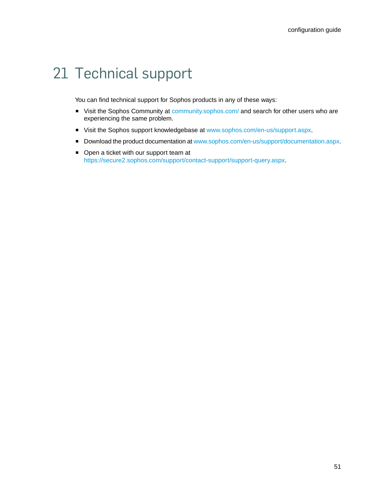## <span id="page-50-0"></span>21 Technical support

You can find technical support for Sophos products in any of these ways:

- Visit the Sophos Community at [community.sophos.com/](http://community.sophos.com) and search for other users who are experiencing the same problem.
- Visit the Sophos support knowledgebase at [www.sophos.com/en-us/support.aspx.](http://www.sophos.com/en-us/support.aspx)
- Download the product documentation at [www.sophos.com/en-us/support/documentation.aspx.](http://www.sophos.com/en-us/support/documentation.aspx)
- Open a ticket with our support team at <https://secure2.sophos.com/support/contact-support/support-query.aspx>.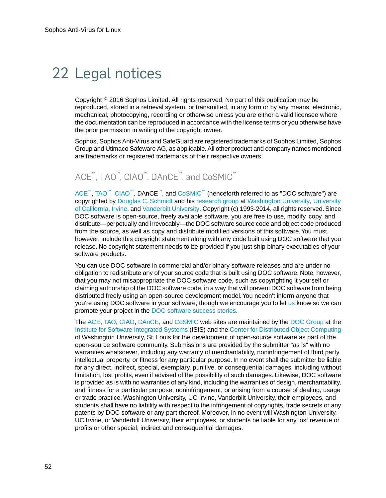## <span id="page-51-0"></span>22 Legal notices

Copyright  $<sup>®</sup>$  2016 Sophos Limited. All rights reserved. No part of this publication may be</sup> reproduced, stored in a retrieval system, or transmitted, in any form or by any means, electronic, mechanical, photocopying, recording or otherwise unless you are either a valid licensee where the documentation can be reproduced in accordance with the license terms or you otherwise have the prior permission in writing of the copyright owner.

Sophos, Sophos Anti-Virus and SafeGuard are registered trademarks of Sophos Limited, Sophos Group and Utimaco Safeware AG, as applicable. All other product and company names mentioned are trademarks or registered trademarks of their respective owners.

## ACE™, TAO™, CIAO™, DAnCE™, and CoSMIC™

[ACE](http://www.cs.wustl.edu/~schmidt/ACE.html)™, [TAO](http://www.cs.wustl.edu/~schmidt/TAO.html)™, [CIAO](http://www.dre.vanderbilt.edu/CIAO/)™, DAnCE™, and [CoSMIC](http://www.dre.vanderbilt.edu/cosmic/)™ (henceforth referred to as "DOC software") are copyrighted by [Douglas C. Schmidt](http://www.dre.vanderbilt.edu/~schmidt/) and his [research group](http://www.cs.wustl.edu/~schmidt/ACE-members.html) at [Washington University,](http://www.wustl.edu/) [University](http://www.uci.edu) [of California, Irvine,](http://www.uci.edu) and [Vanderbilt University](http://www.vanderbilt.edu), Copyright (c) 1993-2014, all rights reserved. Since DOC software is open-source, freely available software, you are free to use, modify, copy, and distribute—perpetually and irrevocably—the DOC software source code and object code produced from the source, as well as copy and distribute modified versions of this software. You must, however, include this copyright statement along with any code built using DOC software that you release. No copyright statement needs to be provided if you just ship binary executables of your software products.

You can use DOC software in commercial and/or binary software releases and are under no obligation to redistribute any of your source code that is built using DOC software. Note, however, that you may not misappropriate the DOC software code, such as copyrighting it yourself or claiming authorship of the DOC software code, in a way that will prevent DOC software from being distributed freely using an open-source development model.You needn't inform anyone that you're using DOC software in your software, though we encourage you to let [us](mailto:doc_group@cs.wustl.edu) know so we can promote your project in the [DOC software success stories](http://www.cs.wustl.edu/~schmidt/ACE-users.html).

The [ACE](http://www.cs.wustl.edu/~schmidt/ACE.html), [TAO,](http://www.cs.wustl.edu/~schmidt/TAO.html) [CIAO,](http://www.dre.vanderbilt.edu/CIAO/) [DAnCE](http://www.dre.vanderbilt.edu/~schmidt/DOC_ROOT/DAnCE/), and [CoSMIC](http://www.dre.vanderbilt.edu/cosmic/) web sites are maintained by the [DOC Group](http://www.dre.vanderbilt.edu/) at the [Institute for Software Integrated Systems](http://www.isis.vanderbilt.edu/) (ISIS) and the [Center for Distributed Object Computing](http://www.cs.wustl.edu/~schmidt/doc-center.html) of Washington University, St. Louis for the development of open-source software as part of the open-source software community. Submissions are provided by the submitter "as is" with no warranties whatsoever, including any warranty of merchantability, noninfringement of third party intellectual property, or fitness for any particular purpose. In no event shall the submitter be liable for any direct, indirect, special, exemplary, punitive, or consequential damages, including without limitation, lost profits, even if advised of the possibility of such damages. Likewise, DOC software is provided as is with no warranties of any kind, including the warranties of design, merchantability, and fitness for a particular purpose, noninfringement, or arising from a course of dealing, usage or trade practice. Washington University, UC Irvine, Vanderbilt University, their employees, and students shall have no liability with respect to the infringement of copyrights, trade secrets or any patents by DOC software or any part thereof. Moreover, in no event will Washington University, UC Irvine, or Vanderbilt University, their employees, or students be liable for any lost revenue or profits or other special, indirect and consequential damages.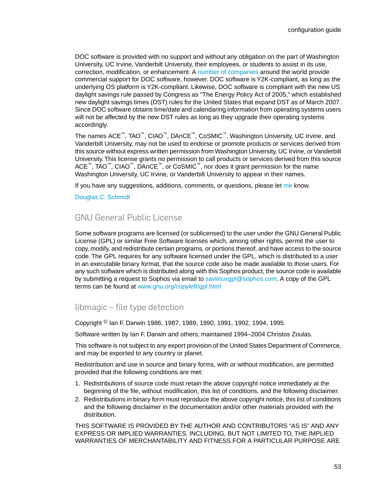DOC software is provided with no support and without any obligation on the part of Washington University, UC Irvine, Vanderbilt University, their employees, or students to assist in its use, correction, modification, or enhancement. A [number of companies](http://www.cs.wustl.edu/~schmidt/commercial-support.html) around the world provide commercial support for DOC software, however. DOC software is Y2K-compliant, as long as the underlying OS platform is Y2K-compliant. Likewise, DOC software is compliant with the new US daylight savings rule passed by Congress as "The Energy Policy Act of 2005," which established new daylight savings times (DST) rules for the United States that expand DST as of March 2007. Since DOC software obtains time/date and calendaring information from operating systems users will not be affected by the new DST rules as long as they upgrade their operating systems accordingly.

The names ACE™, TAO™, CIAO™, DAnCE™, CoSMIC™, Washington University, UC Irvine, and Vanderbilt University, may not be used to endorse or promote products or services derived from this source without express written permission from Washington University, UC Irvine, or Vanderbilt University.This license grants no permission to call products or services derived from this source ACE™, TAO™, CIAO™, DAnCE™, or CoSMIC™, nor does it grant permission for the name Washington University, UC Irvine, or Vanderbilt University to appear in their names.

If you have any suggestions, additions, comments, or questions, please let [me](mailto:d.schmidt@vanderbilt.edu) know.

[Douglas C. Schmidt](http://www.dre.vanderbilt.edu/~schmidt/)

#### GNU General Public License

Some software programs are licensed (or sublicensed) to the user under the GNU General Public License (GPL) or similar Free Software licenses which, among other rights, permit the user to copy, modify, and redistribute certain programs, or portions thereof, and have access to the source code. The GPL requires for any software licensed under the GPL, which is distributed to a user in an executable binary format, that the source code also be made available to those users. For any such software which is distributed along with this Sophos product, the source code is available by submitting a request to Sophos via email to [savlinuxgpl@sophos.com](mailto:savlinuxgpl@sophos.com). A copy of the GPL terms can be found at [www.gnu.org/copyleft/gpl.html](http://www.gnu.org/copyleft/gpl.html)

#### libmagic – file type detection

Copyright © Ian F. Darwin 1986, 1987, 1989, 1990, 1991, 1992, 1994, 1995.

Software written by Ian F. Darwin and others; maintained 1994–2004 Christos Zoulas.

This software is not subject to any export provision of the United States Department of Commerce, and may be exported to any country or planet.

Redistribution and use in source and binary forms, with or without modification, are permitted provided that the following conditions are met:

- 1. Redistributions of source code must retain the above copyright notice immediately at the beginning of the file, without modification, this list of conditions, and the following disclaimer.
- 2. Redistributions in binary form must reproduce the above copyright notice, this list of conditions and the following disclaimer in the documentation and/or other materials provided with the distribution.

THIS SOFTWARE IS PROVIDED BY THE AUTHOR AND CONTRIBUTORS "AS IS" AND ANY EXPRESS OR IMPLIED WARRANTIES, INCLUDING, BUT NOT LIMITED TO, THE IMPLIED WARRANTIES OF MERCHANTABILITY AND FITNESS FOR A PARTICULAR PURPOSE ARE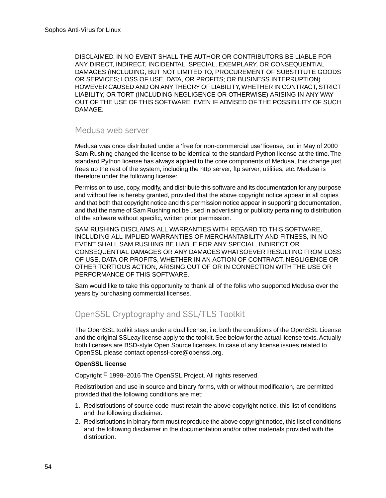DISCLAIMED. IN NO EVENT SHALL THE AUTHOR OR CONTRIBUTORS BE LIABLE FOR ANY DIRECT, INDIRECT, INCIDENTAL, SPECIAL, EXEMPLARY, OR CONSEQUENTIAL DAMAGES (INCLUDING, BUT NOT LIMITED TO, PROCUREMENT OF SUBSTITUTE GOODS OR SERVICES; LOSS OF USE, DATA, OR PROFITS; OR BUSINESS INTERRUPTION) HOWEVER CAUSED AND ON ANY THEORY OF LIABILITY, WHETHER IN CONTRACT, STRICT LIABILITY, OR TORT (INCLUDING NEGLIGENCE OR OTHERWISE) ARISING IN ANY WAY OUT OF THE USE OF THIS SOFTWARE, EVEN IF ADVISED OF THE POSSIBILITY OF SUCH DAMAGE.

#### Medusa web server

Medusa was once distributed under a 'free for non-commercial use' license, but in May of 2000 Sam Rushing changed the license to be identical to the standard Python license at the time. The standard Python license has always applied to the core components of Medusa, this change just frees up the rest of the system, including the http server, ftp server, utilities, etc. Medusa is therefore under the following license:

Permission to use, copy, modify, and distribute this software and its documentation for any purpose and without fee is hereby granted, provided that the above copyright notice appear in all copies and that both that copyright notice and this permission notice appear in supporting documentation, and that the name of Sam Rushing not be used in advertising or publicity pertaining to distribution of the software without specific, written prior permission.

SAM RUSHING DISCLAIMS ALL WARRANTIES WITH REGARD TO THIS SOFTWARE, INCLUDING ALL IMPLIED WARRANTIES OF MERCHANTABILITY AND FITNESS, IN NO EVENT SHALL SAM RUSHING BE LIABLE FOR ANY SPECIAL, INDIRECT OR CONSEQUENTIAL DAMAGES OR ANY DAMAGES WHATSOEVER RESULTING FROM LOSS OF USE, DATA OR PROFITS, WHETHER IN AN ACTION OF CONTRACT, NEGLIGENCE OR OTHER TORTIOUS ACTION, ARISING OUT OF OR IN CONNECTION WITH THE USE OR PERFORMANCE OF THIS SOFTWARE.

Sam would like to take this opportunity to thank all of the folks who supported Medusa over the years by purchasing commercial licenses.

#### OpenSSL Cryptography and SSL/TLS Toolkit

The OpenSSL toolkit stays under a dual license, i.e. both the conditions of the OpenSSL License and the original SSLeay license apply to the toolkit. See below for the actual license texts. Actually both licenses are BSD-style Open Source licenses. In case of any license issues related to OpenSSL please contact openssl-core@openssl.org.

#### **OpenSSL license**

Copyright © 1998–2016 The OpenSSL Project. All rights reserved.

Redistribution and use in source and binary forms, with or without modification, are permitted provided that the following conditions are met:

- 1. Redistributions of source code must retain the above copyright notice, this list of conditions and the following disclaimer.
- 2. Redistributions in binary form must reproduce the above copyright notice, this list of conditions and the following disclaimer in the documentation and/or other materials provided with the distribution.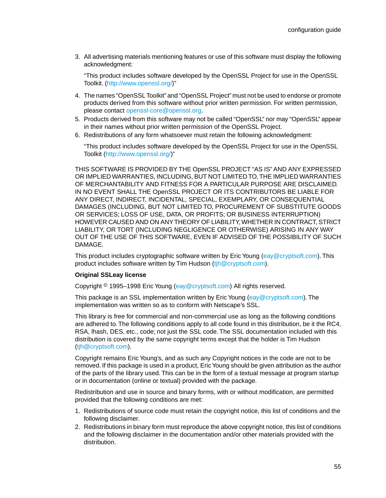3. All advertising materials mentioning features or use of this software must display the following acknowledgment:

"This product includes software developed by the OpenSSL Project for use in the OpenSSL Toolkit. (<http://www.openssl.org/>)"

- 4. The names "OpenSSL Toolkit" and "OpenSSL Project" must not be used to endorse or promote products derived from this software without prior written permission. For written permission, please contact [openssl-core@openssl.org.](mailto:openssl-core@openssl.org)
- 5. Products derived from this software may not be called "OpenSSL" nor may "OpenSSL" appear in their names without prior written permission of the OpenSSL Project.
- 6. Redistributions of any form whatsoever must retain the following acknowledgment:

"This product includes software developed by the OpenSSL Project for use in the OpenSSL Toolkit ([http://www.openssl.org/\)](http://www.openssl.org/)"

THIS SOFTWARE IS PROVIDED BY THE OpenSSL PROJECT "AS IS" AND ANY EXPRESSED OR IMPLIED WARRANTIES, INCLUDING, BUT NOT LIMITED TO, THE IMPLIED WARRANTIES OF MERCHANTABILITY AND FITNESS FOR A PARTICULAR PURPOSE ARE DISCLAIMED. IN NO EVENT SHALL THE OpenSSL PROJECT OR ITS CONTRIBUTORS BE LIABLE FOR ANY DIRECT, INDIRECT, INCIDENTAL, SPECIAL, EXEMPLARY, OR CONSEQUENTIAL DAMAGES (INCLUDING, BUT NOT LIMITED TO, PROCUREMENT OF SUBSTITUTE GOODS OR SERVICES; LOSS OF USE, DATA, OR PROFITS; OR BUSINESS INTERRUPTION) HOWEVER CAUSED AND ON ANY THEORY OF LIABILITY, WHETHER IN CONTRACT, STRICT LIABILITY, OR TORT (INCLUDING NEGLIGENCE OR OTHERWISE) ARISING IN ANY WAY OUT OF THE USE OF THIS SOFTWARE, EVEN IF ADVISED OF THE POSSIBILITY OF SUCH DAMAGE.

This product includes cryptographic software written by Eric Young [\(eay@cryptsoft.com\)](mailto:eay@cryptsoft.com). This product includes software written by Tim Hudson [\(tjh@cryptsoft.com\)](mailto:tjh@cryptsoft.com).

#### **Original SSLeay license**

Copyright © 1995–1998 Eric Young [\(eay@cryptsoft.com\)](mailto:eay@cryptsoft.com) All rights reserved.

This package is an SSL implementation written by Eric Young ([eay@cryptsoft.com](mailto:eay@cryptsoft.com)). The implementation was written so as to conform with Netscape's SSL.

This library is free for commercial and non-commercial use as long as the following conditions are adhered to. The following conditions apply to all code found in this distribution, be it the RC4, RSA, lhash, DES, etc., code; not just the SSL code. The SSL documentation included with this distribution is covered by the same copyright terms except that the holder is Tim Hudson [\(tjh@cryptsoft.com\)](mailto:tjh@cryptsoft.com).

Copyright remains Eric Young's, and as such any Copyright notices in the code are not to be removed. If this package is used in a product, Eric Young should be given attribution as the author of the parts of the library used. This can be in the form of a textual message at program startup or in documentation (online or textual) provided with the package.

Redistribution and use in source and binary forms, with or without modification, are permitted provided that the following conditions are met:

- 1. Redistributions of source code must retain the copyright notice, this list of conditions and the following disclaimer.
- 2. Redistributions in binary form must reproduce the above copyright notice, this list of conditions and the following disclaimer in the documentation and/or other materials provided with the distribution.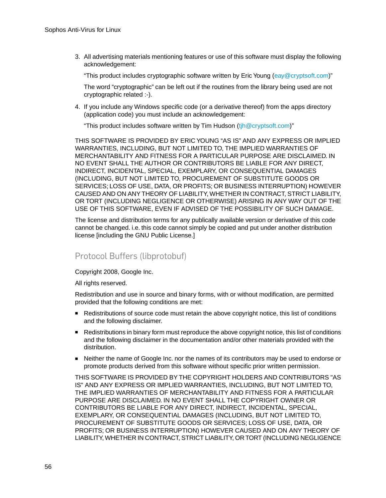3. All advertising materials mentioning features or use of this software must display the following acknowledgement:

"This product includes cryptographic software written by Eric Young ([eay@cryptsoft.com](mailto:eay@cryptsoft.com))"

The word "cryptographic" can be left out if the routines from the library being used are not cryptographic related :-).

4. If you include any Windows specific code (or a derivative thereof) from the apps directory (application code) you must include an acknowledgement:

"This product includes software written by Tim Hudson  $(i)$   $\mathbb{Q}$  cryptsoft.com)"

THIS SOFTWARE IS PROVIDED BY ERIC YOUNG "AS IS" AND ANY EXPRESS OR IMPLIED WARRANTIES, INCLUDING, BUT NOT LIMITED TO, THE IMPLIED WARRANTIES OF MERCHANTABILITY AND FITNESS FOR A PARTICULAR PURPOSE ARE DISCLAIMED. IN NO EVENT SHALL THE AUTHOR OR CONTRIBUTORS BE LIABLE FOR ANY DIRECT, INDIRECT, INCIDENTAL, SPECIAL, EXEMPLARY, OR CONSEQUENTIAL DAMAGES (INCLUDING, BUT NOT LIMITED TO, PROCUREMENT OF SUBSTITUTE GOODS OR SERVICES; LOSS OF USE, DATA, OR PROFITS; OR BUSINESS INTERRUPTION) HOWEVER CAUSED AND ON ANY THEORY OF LIABILITY, WHETHER IN CONTRACT, STRICT LIABILITY, OR TORT (INCLUDING NEGLIGENCE OR OTHERWISE) ARISING IN ANY WAY OUT OF THE USE OF THIS SOFTWARE, EVEN IF ADVISED OF THE POSSIBILITY OF SUCH DAMAGE.

The license and distribution terms for any publically available version or derivative of this code cannot be changed. i.e. this code cannot simply be copied and put under another distribution license [including the GNU Public License.]

#### Protocol Buffers (libprotobuf)

Copyright 2008, Google Inc.

All rights reserved.

Redistribution and use in source and binary forms, with or without modification, are permitted provided that the following conditions are met:

- Redistributions of source code must retain the above copyright notice, this list of conditions and the following disclaimer.
- Redistributions in binary form must reproduce the above copyright notice, this list of conditions and the following disclaimer in the documentation and/or other materials provided with the distribution.
- Neither the name of Google Inc. nor the names of its contributors may be used to endorse or promote products derived from this software without specific prior written permission.

THIS SOFTWARE IS PROVIDED BY THE COPYRIGHT HOLDERS AND CONTRIBUTORS "AS IS" AND ANY EXPRESS OR IMPLIED WARRANTIES, INCLUDING, BUT NOT LIMITED TO, THE IMPLIED WARRANTIES OF MERCHANTABILITY AND FITNESS FOR A PARTICULAR PURPOSE ARE DISCLAIMED. IN NO EVENT SHALL THE COPYRIGHT OWNER OR CONTRIBUTORS BE LIABLE FOR ANY DIRECT, INDIRECT, INCIDENTAL, SPECIAL, EXEMPLARY, OR CONSEQUENTIAL DAMAGES (INCLUDING, BUT NOT LIMITED TO, PROCUREMENT OF SUBSTITUTE GOODS OR SERVICES; LOSS OF USE, DATA, OR PROFITS; OR BUSINESS INTERRUPTION) HOWEVER CAUSED AND ON ANY THEORY OF LIABILITY, WHETHER IN CONTRACT, STRICT LIABILITY, OR TORT (INCLUDING NEGLIGENCE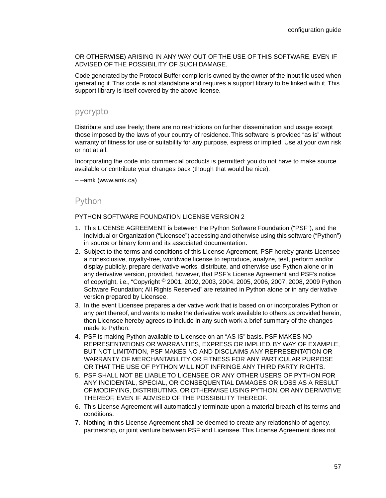OR OTHERWISE) ARISING IN ANY WAY OUT OF THE USE OF THIS SOFTWARE, EVEN IF ADVISED OF THE POSSIBILITY OF SUCH DAMAGE.

Code generated by the Protocol Buffer compiler is owned by the owner of the input file used when generating it. This code is not standalone and requires a support library to be linked with it. This support library is itself covered by the above license.

#### pycrypto

Distribute and use freely; there are no restrictions on further dissemination and usage except those imposed by the laws of your country of residence. This software is provided "as is" without warranty of fitness for use or suitability for any purpose, express or implied. Use at your own risk or not at all.

Incorporating the code into commercial products is permitted; you do not have to make source available or contribute your changes back (though that would be nice).

– –amk (www.amk.ca)

#### Python

#### PYTHON SOFTWARE FOUNDATION LICENSE VERSION 2

- 1. This LICENSE AGREEMENT is between the Python Software Foundation ("PSF"), and the Individual or Organization ("Licensee") accessing and otherwise using this software ("Python") in source or binary form and its associated documentation.
- 2. Subject to the terms and conditions of this License Agreement, PSF hereby grants Licensee a nonexclusive, royalty-free, worldwide license to reproduce, analyze, test, perform and/or display publicly, prepare derivative works, distribute, and otherwise use Python alone or in any derivative version, provided, however, that PSF's License Agreement and PSF's notice of copyright, i.e., "Copyright © 2001, 2002, 2003, 2004, 2005, 2006, 2007, 2008, 2009 Python Software Foundation; All Rights Reserved" are retained in Python alone or in any derivative version prepared by Licensee.
- 3. In the event Licensee prepares a derivative work that is based on or incorporates Python or any part thereof, and wants to make the derivative work available to others as provided herein, then Licensee hereby agrees to include in any such work a brief summary of the changes made to Python.
- 4. PSF is making Python available to Licensee on an "AS IS" basis. PSF MAKES NO REPRESENTATIONS OR WARRANTIES, EXPRESS OR IMPLIED. BY WAY OF EXAMPLE, BUT NOT LIMITATION, PSF MAKES NO AND DISCLAIMS ANY REPRESENTATION OR WARRANTY OF MERCHANTABILITY OR FITNESS FOR ANY PARTICULAR PURPOSE OR THAT THE USE OF PYTHON WILL NOT INFRINGE ANY THIRD PARTY RIGHTS.
- 5. PSF SHALL NOT BE LIABLE TO LICENSEE OR ANY OTHER USERS OF PYTHON FOR ANY INCIDENTAL, SPECIAL, OR CONSEQUENTIAL DAMAGES OR LOSS AS A RESULT OF MODIFYING, DISTRIBUTING, OR OTHERWISE USING PYTHON, OR ANY DERIVATIVE THEREOF, EVEN IF ADVISED OF THE POSSIBILITY THEREOF.
- 6. This License Agreement will automatically terminate upon a material breach of its terms and conditions.
- 7. Nothing in this License Agreement shall be deemed to create any relationship of agency, partnership, or joint venture between PSF and Licensee. This License Agreement does not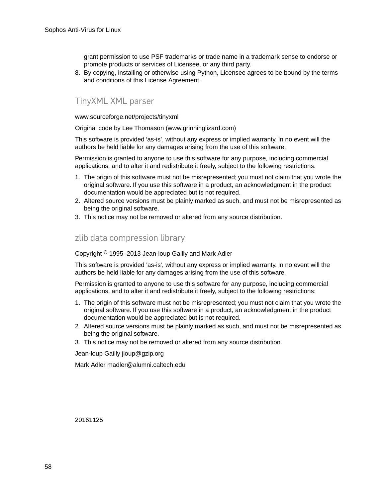grant permission to use PSF trademarks or trade name in a trademark sense to endorse or promote products or services of Licensee, or any third party.

8. By copying, installing or otherwise using Python, Licensee agrees to be bound by the terms and conditions of this License Agreement.

#### TinyXML XML parser

www.sourceforge.net/projects/tinyxml

Original code by Lee Thomason (www.grinninglizard.com)

This software is provided 'as-is', without any express or implied warranty. In no event will the authors be held liable for any damages arising from the use of this software.

Permission is granted to anyone to use this software for any purpose, including commercial applications, and to alter it and redistribute it freely, subject to the following restrictions:

- 1. The origin of this software must not be misrepresented; you must not claim that you wrote the original software. If you use this software in a product, an acknowledgment in the product documentation would be appreciated but is not required.
- 2. Altered source versions must be plainly marked as such, and must not be misrepresented as being the original software.
- 3. This notice may not be removed or altered from any source distribution.

#### zlib data compression library

Copyright © 1995–2013 Jean-loup Gailly and Mark Adler

This software is provided 'as-is', without any express or implied warranty. In no event will the authors be held liable for any damages arising from the use of this software.

Permission is granted to anyone to use this software for any purpose, including commercial applications, and to alter it and redistribute it freely, subject to the following restrictions:

- 1. The origin of this software must not be misrepresented; you must not claim that you wrote the original software. If you use this software in a product, an acknowledgment in the product documentation would be appreciated but is not required.
- 2. Altered source versions must be plainly marked as such, and must not be misrepresented as being the original software.
- 3. This notice may not be removed or altered from any source distribution.

Jean-loup Gailly jloup@gzip.org

Mark Adler madler@alumni.caltech.edu

20161125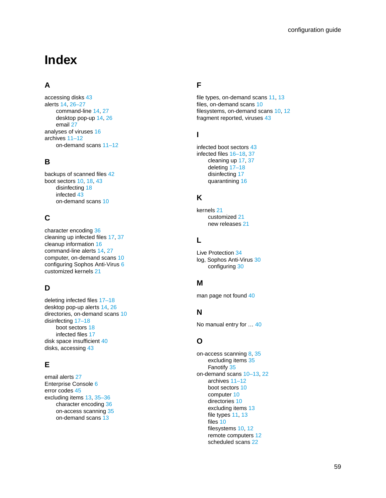## **Index**

#### **A**

accessing disks [43](#page-42-2) alerts [14,](#page-13-1) [26–27](#page-25-2) command-line [14,](#page-13-1) [27](#page-26-2) desktop pop-up [14](#page-13-1), [26](#page-25-2) email [27](#page-26-3) analyses of viruses [16](#page-15-3) archives [11–12](#page-10-2) on-demand scans [11–12](#page-10-2)

#### **B**

backups of scanned files [42](#page-41-2) boot sectors [10](#page-9-2), [18](#page-17-1), [43](#page-42-2) disinfecting [18](#page-17-1) infected [43](#page-42-2) on-demand scans [10](#page-9-2)

#### **C**

character encoding [36](#page-35-1) cleaning up infected files [17,](#page-16-2) [37](#page-36-3) cleanup information [16](#page-15-3) command-line alerts [14,](#page-13-1) [27](#page-26-2) computer, on-demand scans [10](#page-9-3) configuring Sophos Anti-Virus [6](#page-5-5) customized kernels [21](#page-20-3)

#### **D**

deleting infected files [17–18](#page-16-3) desktop pop-up alerts [14](#page-13-1), [26](#page-25-2) directories, on-demand scans [10](#page-9-4) disinfecting [17–18](#page-16-4) boot sectors [18](#page-17-1) infected files [17](#page-16-4) disk space insufficient [40](#page-39-2) disks, accessing [43](#page-42-2)

#### **E**

email alerts [27](#page-26-3) Enterprise Console [6](#page-5-5) error codes [45](#page-44-2) excluding items [13](#page-12-0), [35–36](#page-34-3) character encoding [36](#page-35-1) on-access scanning [35](#page-34-3) on-demand scans [13](#page-12-0)

#### **F**

file types, on-demand scans [11,](#page-10-3) [13](#page-12-1) files, on-demand scans [10](#page-9-4) filesystems, on-demand scans [10,](#page-9-5) [12](#page-11-0) fragment reported, viruses [43](#page-42-3)

#### **I**

infected boot sectors [43](#page-42-2) infected files [16–18](#page-15-4), [37](#page-36-3) cleaning up [17,](#page-16-2) [37](#page-36-3) deleting [17–18](#page-16-3) disinfecting [17](#page-16-4) quarantining [16](#page-15-4)

#### **K**

kernels [21](#page-20-4) customized [21](#page-20-3) new releases [21](#page-20-4)

#### **L**

Live Protection [34](#page-33-3) log, Sophos Anti-Virus [30](#page-29-1) configuring [30](#page-29-1)

#### **M**

man page not found [40](#page-39-3)

#### **N**

No manual entry for … [40](#page-39-3)

#### **O**

on-access scanning [8](#page-7-4), [35](#page-34-3) excluding items [35](#page-34-3) Fanotify [35](#page-34-4) on-demand scans [10–13](#page-9-6), [22](#page-21-3) archives [11–12](#page-10-2) boot sectors [10](#page-9-2) computer [10](#page-9-3) directories [10](#page-9-4) excluding items [13](#page-12-0) file types [11](#page-10-4), [13](#page-12-1) files [10](#page-9-4) filesystems [10](#page-9-5), [12](#page-11-0) remote computers [12](#page-11-1) scheduled scans [22](#page-21-3)